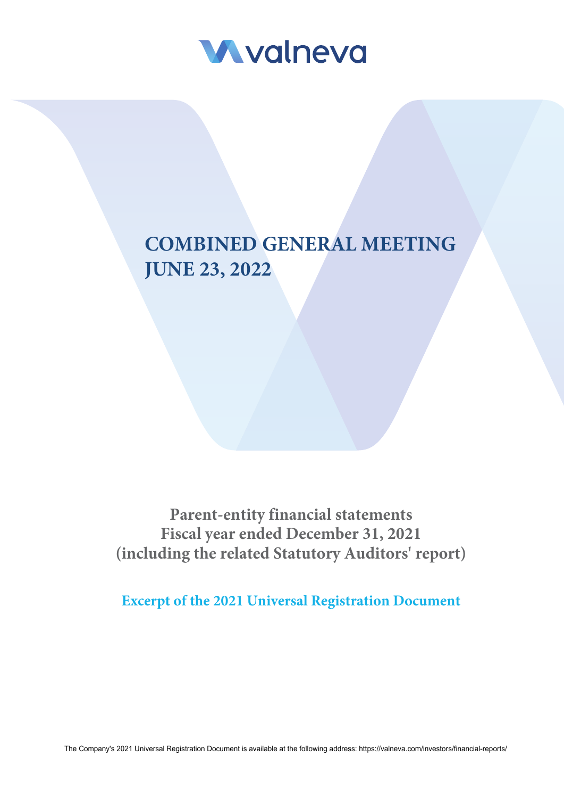

# **COMBINED GENERAL MEETING JUNE 23, 2022**

**Parent-entity financial statements Fiscal year ended December 31, 2021 (including the related Statutory Auditors' report)**

**Excerpt of the 2021 Universal Registration Document**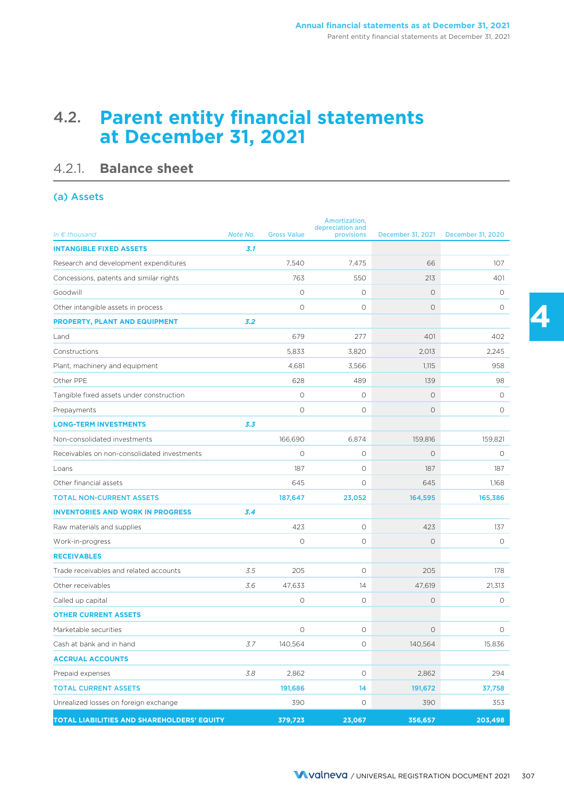## 4.2. **Parent entity financial statements at December 31, 2021**

## 4.2.1. **Balance sheet**

### (a) Assets

| In $\epsilon$ thousand                      | Note No. | <b>Gross Value</b> | Amortization,<br>depreciation and<br>provisions | December 31, 2021 | December 31, 2020 |
|---------------------------------------------|----------|--------------------|-------------------------------------------------|-------------------|-------------------|
| <b>INTANGIBLE FIXED ASSETS</b>              | 3.1      |                    |                                                 |                   |                   |
|                                             |          |                    |                                                 |                   |                   |
| Research and development expenditures       |          | 7,540              | 7.475                                           | 66                | 107               |
| Concessions, patents and similar rights     |          | 763                | 550                                             | 213               | 401               |
| Goodwill                                    |          | $\circ$            | 0                                               | $\circ$           | 0                 |
| Other intangible assets in process          |          | $\circ$            | 0                                               | $\circ$           | 0                 |
| <b>PROPERTY, PLANT AND EQUIPMENT</b>        | 3.2      |                    |                                                 |                   |                   |
| Land                                        |          | 679                | 277                                             | 401               | 402               |
| Constructions                               |          | 5,833              | 3,820                                           | 2,013             | 2.245             |
| Plant, machinery and equipment              |          | 4,681              | 3,566                                           | 1,115             | 958               |
| Other PPE                                   |          | 628                | 489                                             | 139               | 98                |
| Tangible fixed assets under construction    |          | $\circ$            | $\circ$                                         | $\circ$           | $\circ$           |
| Prepayments                                 |          | $\circ$            | O                                               | $\circ$           | 0                 |
| <b>LONG-TERM INVESTMENTS</b>                | 3.3      |                    |                                                 |                   |                   |
| Non-consolidated investments                |          | 166,690            | 6,874                                           | 159,816           | 159,821           |
| Receivables on non-consolidated investments |          | $\circ$            | $\circ$                                         | $\circ$           | 0                 |
| Loans                                       |          | 187                | 0                                               | 187               | 187               |
| Other financial assets                      |          | 645                | $\circ$                                         | 645               | 1,168             |
| <b>TOTAL NON-CURRENT ASSETS</b>             |          | 187,647            | 23,052                                          | 164,595           | 165,386           |
| <b>INVENTORIES AND WORK IN PROGRESS</b>     | 3.4      |                    |                                                 |                   |                   |
| Raw materials and supplies                  |          | 423                | $\circ$                                         | 423               | 137               |
| Work-in-progress                            |          | $\circ$            | $\circ$                                         | $\circ$           | O                 |
| <b>RECEIVABLES</b>                          |          |                    |                                                 |                   |                   |
| Trade receivables and related accounts      | 3.5      | 205                | $\circ$                                         | 205               | 178               |
| Other receivables                           | 3.6      | 47,633             | 14                                              | 47,619            | 21,313            |
| Called up capital                           |          | $\circ$            | $\circ$                                         | $\circ$           | 0                 |
| <b>OTHER CURRENT ASSETS</b>                 |          |                    |                                                 |                   |                   |
| Marketable securities                       |          | $\circ$            | $\circ$                                         | $\circ$           | $\circ$           |
| Cash at bank and in hand                    | 3.7      | 140,564            | 0                                               | 140,564           | 15,836            |
| <b>ACCRUAL ACCOUNTS</b>                     |          |                    |                                                 |                   |                   |
| Prepaid expenses                            | 3.8      | 2,862              | $\circ$                                         | 2,862             | 294               |
| <b>TOTAL CURRENT ASSETS</b>                 |          | 191,686            | 14                                              | 191,672           | 37,758            |
| Unrealized losses on foreign exchange       |          | 390                | O                                               | 390               | 353               |
| TOTAL LIABILITIES AND SHAREHOLDERS' EQUITY  |          | 379,723            | 23,067                                          | 356,657           | 203,498           |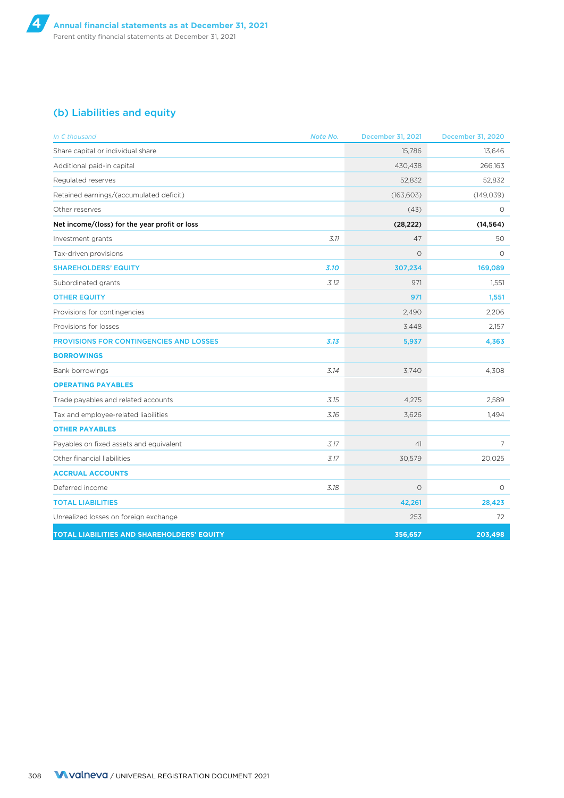### (b) Liabilities and equity

| In $\epsilon$ thousand                         | Note No. | December 31, 2021 | <b>December 31, 2020</b> |
|------------------------------------------------|----------|-------------------|--------------------------|
| Share capital or individual share              |          | 15.786            | 13.646                   |
| Additional paid-in capital                     |          | 430,438           | 266,163                  |
| Regulated reserves                             |          | 52,832            | 52,832                   |
| Retained earnings/(accumulated deficit)        |          | (163, 603)        | (149, 039)               |
| Other reserves                                 |          | (43)              | 0                        |
| Net income/(loss) for the year profit or loss  |          | (28, 222)         | (14, 564)                |
| Investment grants                              | 3.11     | 47                | 50                       |
| Tax-driven provisions                          |          | $\circ$           | $\circ$                  |
| <b>SHAREHOLDERS' EQUITY</b>                    | 3.10     | 307,234           | 169,089                  |
| Subordinated grants                            | 3.12     | 971               | 1,551                    |
| <b>OTHER EQUITY</b>                            |          | 971               | 1,551                    |
| Provisions for contingencies                   |          | 2,490             | 2,206                    |
| Provisions for losses                          |          | 3,448             | 2,157                    |
| <b>PROVISIONS FOR CONTINGENCIES AND LOSSES</b> | 3.13     | 5,937             | 4,363                    |
| <b>BORROWINGS</b>                              |          |                   |                          |
| Bank borrowings                                | 3.14     | 3,740             | 4,308                    |
| <b>OPERATING PAYABLES</b>                      |          |                   |                          |
| Trade payables and related accounts            | 3.15     | 4,275             | 2,589                    |
| Tax and employee-related liabilities           | 3.16     | 3,626             | 1,494                    |
| <b>OTHER PAYABLES</b>                          |          |                   |                          |
| Payables on fixed assets and equivalent        | 3.17     | 41                | 7                        |
| Other financial liabilities                    | 3.17     | 30,579            | 20,025                   |
| <b>ACCRUAL ACCOUNTS</b>                        |          |                   |                          |
| Deferred income                                | 3.18     | $\circ$           | $\circ$                  |
| <b>TOTAL LIABILITIES</b>                       |          | 42,261            | 28,423                   |
| Unrealized losses on foreign exchange          |          | 253               | 72                       |
| TOTAL LIABILITIES AND SHAREHOLDERS' EQUITY     |          | 356,657           | 203,498                  |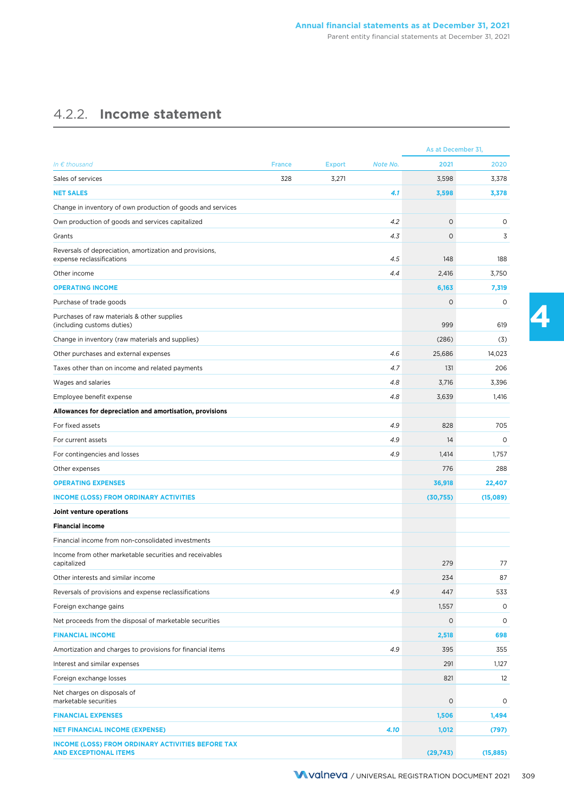## 4.2.2. **Income statement**

|                                                                                                                                   |               |               |          | As at December 31, |                    |
|-----------------------------------------------------------------------------------------------------------------------------------|---------------|---------------|----------|--------------------|--------------------|
| In $\epsilon$ thousand                                                                                                            | <b>France</b> | <b>Export</b> | Note No. | 2021               | 2020               |
| Sales of services                                                                                                                 | 328           | 3,271         |          | 3,598              | 3,378              |
| <b>NET SALES</b>                                                                                                                  |               |               | 4.1      | 3,598              | 3,378              |
| Change in inventory of own production of goods and services                                                                       |               |               |          |                    |                    |
| Own production of goods and services capitalized                                                                                  |               |               | 4.2      | $\circ$            | 0                  |
| Grants                                                                                                                            |               |               | 4.3      | $\circ$            | 3                  |
| Reversals of depreciation, amortization and provisions,<br>expense reclassifications                                              |               |               | 4.5      | 148                | 188                |
| Other income                                                                                                                      |               |               | 4.4      | 2,416              | 3,750              |
| <b>OPERATING INCOME</b>                                                                                                           |               |               |          | 6,163              | 7,319              |
| Purchase of trade goods                                                                                                           |               |               |          | $\circ$            | $\circ$            |
| Purchases of raw materials & other supplies<br>(including customs duties)                                                         |               |               |          | 999                | 619                |
| Change in inventory (raw materials and supplies)                                                                                  |               |               |          | (286)              | (3)                |
| Other purchases and external expenses                                                                                             |               |               | 4.6      | 25,686             | 14,023             |
| Taxes other than on income and related payments                                                                                   |               |               | 4.7      | 131                | 206                |
| Wages and salaries                                                                                                                |               |               | 4.8      | 3,716              | 3,396              |
| Employee benefit expense                                                                                                          |               |               | 4.8      | 3,639              | 1,416              |
| Allowances for depreciation and amortisation, provisions                                                                          |               |               |          |                    |                    |
| For fixed assets                                                                                                                  |               |               | 4.9      | 828                | 705                |
| For current assets                                                                                                                |               |               | 4.9      | 14                 | $\circ$            |
| For contingencies and losses                                                                                                      |               |               | 4.9      | 1,414              | 1,757              |
| Other expenses                                                                                                                    |               |               |          | 776                | 288                |
| <b>OPERATING EXPENSES</b>                                                                                                         |               |               |          | 36,918             | 22,407             |
| <b>INCOME (LOSS) FROM ORDINARY ACTIVITIES</b>                                                                                     |               |               |          | (30,755)           | (15,089)           |
| Joint venture operations                                                                                                          |               |               |          |                    |                    |
| <b>Financial income</b>                                                                                                           |               |               |          |                    |                    |
| Financial income from non-consolidated investments                                                                                |               |               |          |                    |                    |
| Income from other marketable securities and receivables<br>capitalized                                                            |               |               |          | 279                | 77                 |
| Other interests and similar income                                                                                                |               |               |          | 234                | 87                 |
| Reversals of provisions and expense reclassifications                                                                             |               |               | 4.9      | 447                | 533                |
| Foreign exchange gains                                                                                                            |               |               |          | 1,557              | 0                  |
| Net proceeds from the disposal of marketable securities                                                                           |               |               |          | $\circ$            | $\circ$            |
| <b>FINANCIAL INCOME</b>                                                                                                           |               |               |          | 2,518              | 698                |
| Amortization and charges to provisions for financial items                                                                        |               |               | 4.9      | 395                | 355                |
| Interest and similar expenses                                                                                                     |               |               |          | 291                | 1,127              |
| Foreign exchange losses                                                                                                           |               |               |          | 821                | 12                 |
| Net charges on disposals of<br>marketable securities                                                                              |               |               |          | 0                  | 0                  |
| <b>FINANCIAL EXPENSES</b>                                                                                                         |               |               |          | 1,506              |                    |
|                                                                                                                                   |               |               | 4.10     |                    | 1,494              |
| <b>NET FINANCIAL INCOME (EXPENSE)</b><br><b>INCOME (LOSS) FROM ORDINARY ACTIVITIES BEFORE TAX</b><br><b>AND EXCEPTIONAL ITEMS</b> |               |               |          | 1,012<br>(29, 743) | (797)<br>(15, 885) |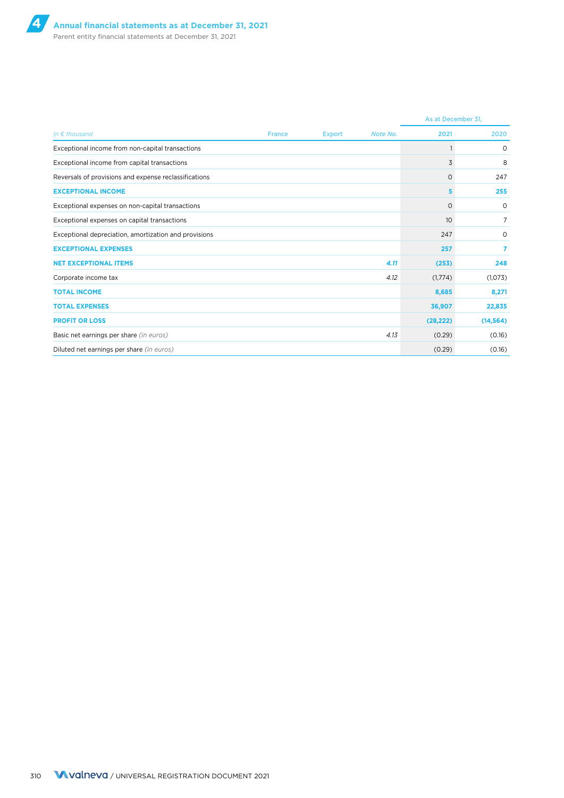|                                                       |               |               |          | As at December 31, |           |
|-------------------------------------------------------|---------------|---------------|----------|--------------------|-----------|
| In $\epsilon$ thousand                                | <b>France</b> | <b>Export</b> | Note No. | 2021               | 2020      |
| Exceptional income from non-capital transactions      |               |               |          |                    | $\circ$   |
| Exceptional income from capital transactions          |               |               |          | 3                  | 8         |
| Reversals of provisions and expense reclassifications |               |               |          | 0                  | 247       |
| <b>EXCEPTIONAL INCOME</b>                             |               |               |          | 5.                 | 255       |
| Exceptional expenses on non-capital transactions      |               |               |          | $\circ$            | $\circ$   |
| Exceptional expenses on capital transactions          |               |               |          | 10 <sup>°</sup>    | 7         |
| Exceptional depreciation, amortization and provisions |               |               |          | 247                | 0         |
| <b>EXCEPTIONAL EXPENSES</b>                           |               |               |          | 257                | 7         |
| <b>NET EXCEPTIONAL ITEMS</b>                          |               |               | 4.11     | (253)              | 248       |
| Corporate income tax                                  |               |               | 4.12     | (1,774)            | (1,073)   |
| <b>TOTAL INCOME</b>                                   |               |               |          | 8,685              | 8,271     |
| <b>TOTAL EXPENSES</b>                                 |               |               |          | 36,907             | 22,835    |
| <b>PROFIT OR LOSS</b>                                 |               |               |          | (28, 222)          | (14, 564) |
| Basic net earnings per share (in euros)               |               |               | 4.13     | (0.29)             | (0.16)    |
| Diluted net earnings per share (in euros)             |               |               |          | (0.29)             | (0.16)    |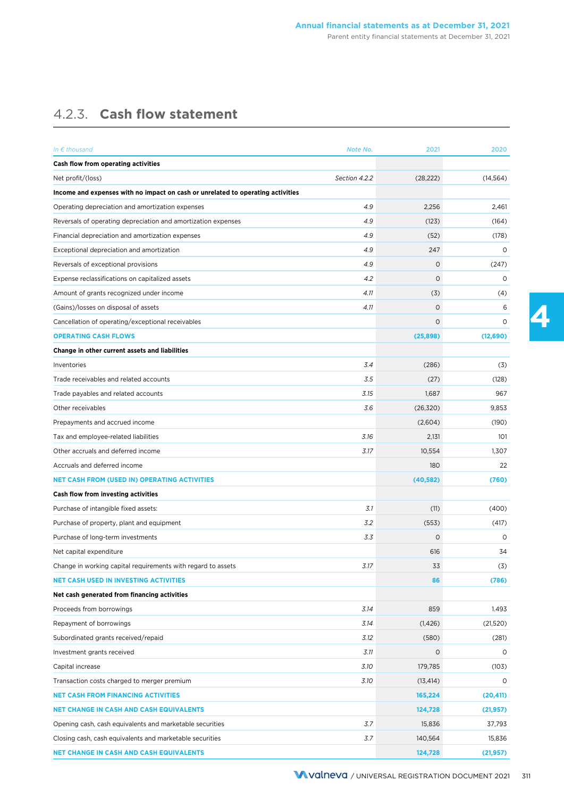## 4.2.3. **Cash flow statement**

| In $\epsilon$ thousand                                                          | Note No.      | 2021        | 2020      |
|---------------------------------------------------------------------------------|---------------|-------------|-----------|
| Cash flow from operating activities                                             |               |             |           |
| Net profit/(loss)                                                               | Section 4.2.2 | (28, 222)   | (14, 564) |
| Income and expenses with no impact on cash or unrelated to operating activities |               |             |           |
| Operating depreciation and amortization expenses                                | 4.9           | 2,256       | 2,461     |
| Reversals of operating depreciation and amortization expenses                   | 4.9           | (123)       | (164)     |
| Financial depreciation and amortization expenses                                | 4.9           | (52)        | (178)     |
| Exceptional depreciation and amortization                                       | 4.9           | 247         | $\circ$   |
| Reversals of exceptional provisions                                             | 4.9           | $\circ$     | (247)     |
| Expense reclassifications on capitalized assets                                 | 4.2           | $\mathbf 0$ | $\circ$   |
| Amount of grants recognized under income                                        | 4.11          | (3)         | (4)       |
| (Gains)/losses on disposal of assets                                            | 4.11          | $\circ$     | 6         |
| Cancellation of operating/exceptional receivables                               |               | $\circ$     | 0         |
| <b>OPERATING CASH FLOWS</b>                                                     |               | (25, 898)   | (12,690)  |
| Change in other current assets and liabilities                                  |               |             |           |
| Inventories                                                                     | 3.4           | (286)       | (3)       |
| Trade receivables and related accounts                                          | 3.5           | (27)        | (128)     |
| Trade payables and related accounts                                             | 3.15          | 1,687       | 967       |
| Other receivables                                                               | 3.6           | (26,320)    | 9,853     |
| Prepayments and accrued income                                                  |               | (2,604)     | (190)     |
| Tax and employee-related liabilities                                            | 3.16          | 2,131       | 101       |
| Other accruals and deferred income                                              | 3.17          | 10,554      | 1,307     |
| Accruals and deferred income                                                    |               | 180         | 22        |
| <b>NET CASH FROM (USED IN) OPERATING ACTIVITIES</b>                             |               | (40, 582)   | (760)     |
| Cash flow from investing activities                                             |               |             |           |
| Purchase of intangible fixed assets:                                            | 3.1           | (11)        | (400)     |
| Purchase of property, plant and equipment                                       | 3.2           | (553)       | (417)     |
| Purchase of long-term investments                                               | 3.3           | $\circ$     | $\Omega$  |
| Net capital expenditure                                                         |               | 616         | 34        |
| Change in working capital requirements with regard to assets                    | 3.17          | 33          | (3)       |
| <b>NET CASH USED IN INVESTING ACTIVITIES</b>                                    |               | 86          | (786)     |
| Net cash generated from financing activities                                    |               |             |           |
| Proceeds from borrowings                                                        | 3.14          | 859         | 1.493     |
| Repayment of borrowings                                                         | 3.14          | (1, 426)    | (21,520)  |
| Subordinated grants received/repaid                                             | 3.12          | (580)       | (281)     |
| Investment grants received                                                      | 3.11          | $\circ$     | $\circ$   |
| Capital increase                                                                | 3.10          | 179,785     | (103)     |
| Transaction costs charged to merger premium                                     | 3.10          | (13, 414)   | 0         |
| <b>NET CASH FROM FINANCING ACTIVITIES</b>                                       |               | 165,224     | (20, 411) |
| <b>NET CHANGE IN CASH AND CASH EQUIVALENTS</b>                                  |               | 124,728     | (21, 957) |
| Opening cash, cash equivalents and marketable securities                        | 3.7           | 15,836      | 37,793    |
| Closing cash, cash equivalents and marketable securities                        | 3.7           | 140,564     | 15,836    |
| <b>NET CHANGE IN CASH AND CASH EQUIVALENTS</b>                                  |               | 124,728     | (21, 957) |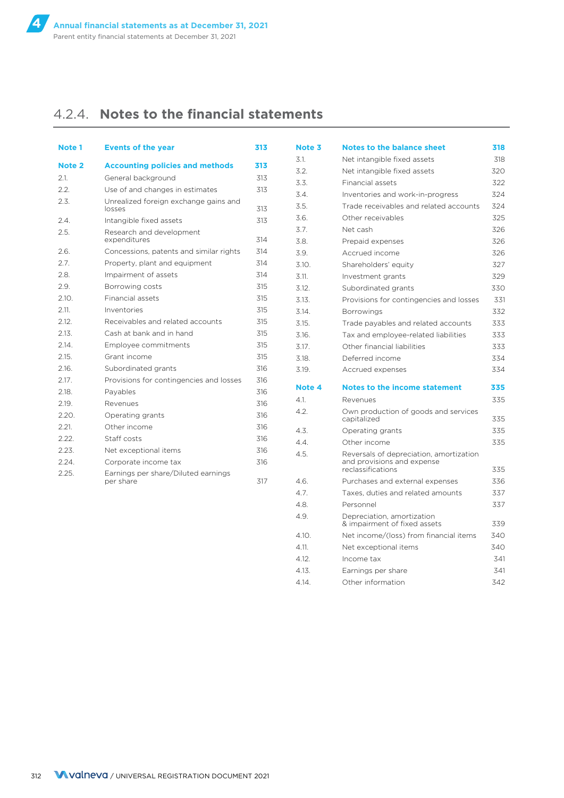## 4.2.4. **Notes to the financial statements**

| Note <sub>1</sub> | <b>Events of the year</b>                        | 313 |
|-------------------|--------------------------------------------------|-----|
| Note 2            | <b>Accounting policies and methods</b>           | 313 |
| 2.1.              | General background                               | 313 |
| 2.2.              | Use of and changes in estimates                  | 313 |
| 2.3.              | Unrealized foreign exchange gains and<br>losses  | 313 |
| 2.4.              | Intangible fixed assets                          | 313 |
| 2.5.              | Research and development<br>expenditures         | 314 |
| 2.6.              | Concessions, patents and similar rights          | 314 |
| 2.7.              | Property, plant and equipment                    | 314 |
| 2.8.              | Impairment of assets                             | 314 |
| 2.9.              | Borrowing costs                                  | 315 |
| 2.10.             | Financial assets                                 | 315 |
| 2.11.             | Inventories                                      | 315 |
| 2.12.             | Receivables and related accounts                 | 315 |
| 2.13.             | Cash at bank and in hand                         | 315 |
| 2.14.             | Employee commitments                             | 315 |
| 2.15.             | Grant income                                     | 315 |
| 2.16.             | Subordinated grants                              | 316 |
| 2.17.             | Provisions for contingencies and losses          | 316 |
| 2.18.             | Payables                                         | 316 |
| 2.19.             | Revenues                                         | 316 |
| 2.20.             | Operating grants                                 | 316 |
| 2.21.             | Other income                                     | 316 |
| 2.22.             | Staff costs                                      | 316 |
| 2.23.             | Net exceptional items                            | 316 |
| 2.24.             | Corporate income tax                             | 316 |
| 2.25.             | Earnings per share/Diluted earnings<br>per share | 317 |

| Note 3 | <b>Notes to the balance sheet</b>                                                          | 318 |
|--------|--------------------------------------------------------------------------------------------|-----|
| 3.1.   | Net intangible fixed assets                                                                | 318 |
| 3.2.   | Net intangible fixed assets                                                                | 320 |
| 3.3.   | <b>Financial assets</b>                                                                    | 322 |
| 3.4.   | Inventories and work-in-progress                                                           | 324 |
| 3.5.   | Trade receivables and related accounts                                                     | 324 |
| 3.6.   | Other receivables                                                                          | 325 |
| 3.7.   | Net cash                                                                                   | 326 |
| 3.8.   | Prepaid expenses                                                                           | 326 |
| 3.9.   | Accrued income                                                                             | 326 |
| 3.10.  | Shareholders' equity                                                                       | 327 |
| 3.11.  | Investment grants                                                                          | 329 |
| 3.12.  | Subordinated grants                                                                        | 330 |
| 3.13.  | Provisions for contingencies and losses                                                    | 331 |
| 3.14.  | <b>Borrowings</b>                                                                          | 332 |
| 3.15.  | Trade payables and related accounts                                                        | 333 |
| 3.16.  | Tax and employee-related liabilities                                                       | 333 |
| 3.17.  | Other financial liabilities                                                                | 333 |
| 3.18.  | Deferred income                                                                            | 334 |
| 3.19.  | Accrued expenses                                                                           | 334 |
| Note 4 | <b>Notes to the income statement</b>                                                       | 335 |
| 4.1.   | Revenues                                                                                   | 335 |
| 4.2.   | Own production of goods and services<br>capitalized                                        | 335 |
| 4.3.   | Operating grants                                                                           | 335 |
| 4.4.   | Other income                                                                               | 335 |
| 4.5.   | Reversals of depreciation, amortization<br>and provisions and expense<br>reclassifications | 335 |
|        |                                                                                            |     |
| 4.6.   | Purchases and external expenses                                                            | 336 |
| 4.7.   | Taxes, duties and related amounts                                                          | 337 |
| 4.8.   | Personnel                                                                                  | 337 |
| 4.9.   | Depreciation, amortization<br>& impairment of fixed assets                                 | 339 |
| 4.10.  | Net income/(loss) from financial items                                                     | 340 |
| 4.11.  | Net exceptional items                                                                      | 340 |
| 4.12.  | Income tax                                                                                 | 341 |
| 4.13.  | Earnings per share                                                                         | 341 |
| 4.14.  | Other information                                                                          | 342 |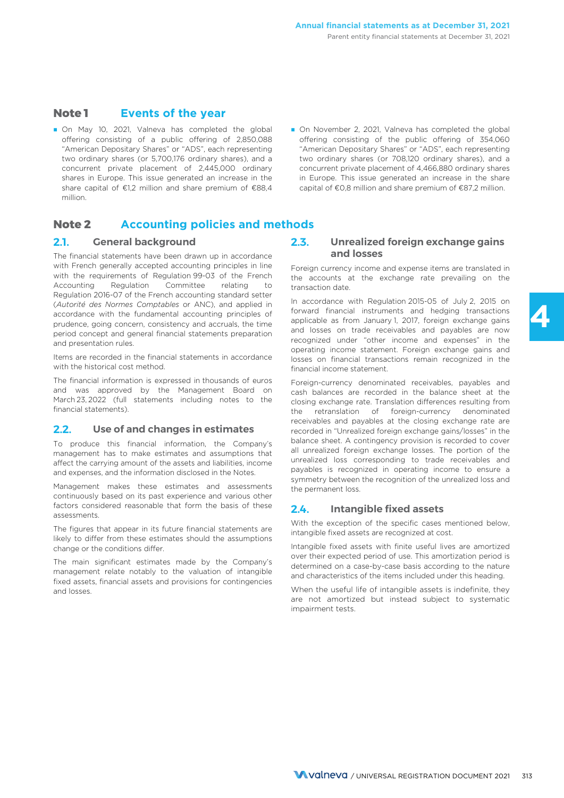### **Note 1 Events of the year**

- On May 10, 2021, Valneva has completed the global offering consisting of a public offering of 2,850,088 "American Depositary Shares" or "ADS", each representing two ordinary shares (or 5,700,176 ordinary shares), and a concurrent private placement of 2,445,000 ordinary shares in Europe. This issue generated an increase in the share capital of €1,2 million and share premium of €88,4 million.
- On November 2, 2021, Valneva has completed the global offering consisting of the public offering of 354,060 "American Depositary Shares" or "ADS", each representing two ordinary shares (or 708,120 ordinary shares), and a concurrent private placement of 4,466,880 ordinary shares in Europe. This issue generated an increase in the share capital of €0,8 million and share premium of €87,2 million.

### **Note 2 Accounting policies and methods**

### **2.1. General background**

The financial statements have been drawn up in accordance with French generally accepted accounting principles in line with the requirements of Regulation 99-03 of the French Accounting Regulation Committee relating to Regulation 2016-07 of the French accounting standard setter (*Autorité des Normes Comptables* or ANC), and applied in accordance with the fundamental accounting principles of prudence, going concern, consistency and accruals, the time period concept and general financial statements preparation and presentation rules.

Items are recorded in the financial statements in accordance with the historical cost method.

The financial information is expressed in thousands of euros and was approved by the Management Board on March 23, 2022 (full statements including notes to the financial statements).

### **2.2. Use of and changes in estimates**

To produce this financial information, the Company's management has to make estimates and assumptions that affect the carrying amount of the assets and liabilities, income and expenses, and the information disclosed in the Notes.

Management makes these estimates and assessments continuously based on its past experience and various other factors considered reasonable that form the basis of these assessments.

The figures that appear in its future financial statements are likely to differ from these estimates should the assumptions change or the conditions differ.

The main significant estimates made by the Company's management relate notably to the valuation of intangible fixed assets, financial assets and provisions for contingencies and losses.

#### **2.3. Unrealized foreign exchange gains and losses**

Foreign currency income and expense items are translated in the accounts at the exchange rate prevailing on the transaction date.

In accordance with Regulation 2015-05 of July 2, 2015 on forward financial instruments and hedging transactions applicable as from January 1, 2017, foreign exchange gains and losses on trade receivables and payables are now recognized under "other income and expenses" in the operating income statement. Foreign exchange gains and losses on financial transactions remain recognized in the financial income statement.

Foreign-currency denominated receivables, payables and cash balances are recorded in the balance sheet at the closing exchange rate. Translation differences resulting from the retranslation of foreign-currency denominated receivables and payables at the closing exchange rate are recorded in "Unrealized foreign exchange gains/losses" in the balance sheet. A contingency provision is recorded to cover all unrealized foreign exchange losses. The portion of the unrealized loss corresponding to trade receivables and payables is recognized in operating income to ensure a symmetry between the recognition of the unrealized loss and the permanent loss.

### **2.4. Intangible fixed assets**

With the exception of the specific cases mentioned below, intangible fixed assets are recognized at cost.

Intangible fixed assets with finite useful lives are amortized over their expected period of use. This amortization period is determined on a case-by-case basis according to the nature and characteristics of the items included under this heading.

When the useful life of intangible assets is indefinite, they are not amortized but instead subject to systematic impairment tests.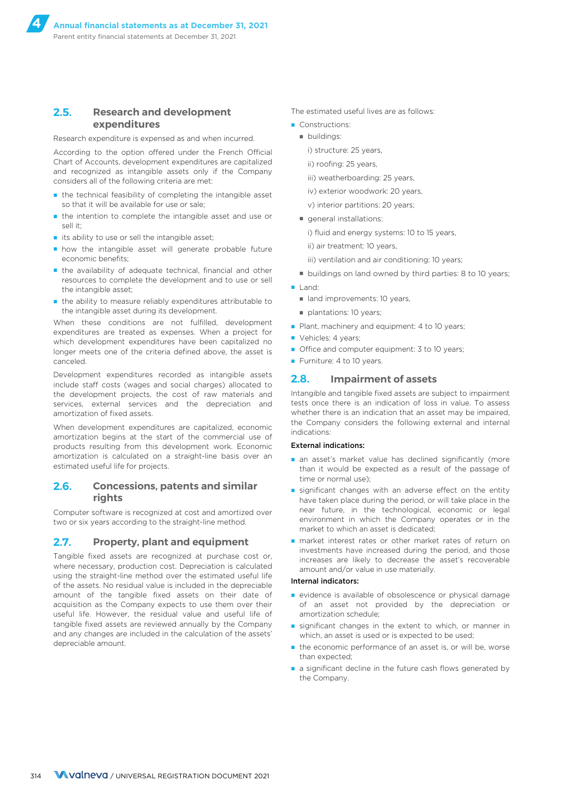### **2.5. Research and development expenditures**

Research expenditure is expensed as and when incurred.

According to the option offered under the French Official Chart of Accounts, development expenditures are capitalized and recognized as intangible assets only if the Company considers all of the following criteria are met:

- the technical feasibility of completing the intangible asset so that it will be available for use or sale;
- the intention to complete the intangible asset and use or sell it;
- its ability to use or sell the intangible asset;
- how the intangible asset will generate probable future economic benefits;
- the availability of adequate technical, financial and other resources to complete the development and to use or sell the intangible asset;
- the ability to measure reliably expenditures attributable to the intangible asset during its development.

When these conditions are not fulfilled, development expenditures are treated as expenses. When a project for which development expenditures have been capitalized no longer meets one of the criteria defined above, the asset is canceled.

Development expenditures recorded as intangible assets include staff costs (wages and social charges) allocated to the development projects, the cost of raw materials and services, external services and the depreciation and amortization of fixed assets.

When development expenditures are capitalized, economic amortization begins at the start of the commercial use of products resulting from this development work. Economic amortization is calculated on a straight-line basis over an estimated useful life for projects.

### **2.6. Concessions, patents and similar rights**

Computer software is recognized at cost and amortized over two or six years according to the straight-line method.

#### **2.7. Property, plant and equipment**

Tangible fixed assets are recognized at purchase cost or, where necessary, production cost. Depreciation is calculated using the straight-line method over the estimated useful life of the assets. No residual value is included in the depreciable amount of the tangible fixed assets on their date of acquisition as the Company expects to use them over their useful life. However, the residual value and useful life of tangible fixed assets are reviewed annually by the Company and any changes are included in the calculation of the assets' depreciable amount.

The estimated useful lives are as follows:

- Constructions:
	- buildings:

i) structure: 25 years,

- ii) roofing: 25 years,
- iii) weatherboarding: 25 years,
- iv) exterior woodwork: 20 years,
- v) interior partitions: 20 years;
- general installations:
	- i) fluid and energy systems: 10 to 15 years,
	- ii) air treatment: 10 years,
	- iii) ventilation and air conditioning: 10 years;
- buildings on land owned by third parties: 8 to 10 years;
- Land:
	- land improvements: 10 years
	- plantations: 10 years;
- Plant, machinery and equipment: 4 to 10 years;
- Vehicles: 4 years;
- Office and computer equipment: 3 to 10 years;
- Furniture: 4 to 10 years.

### **2.8. Impairment of assets**

Intangible and tangible fixed assets are subject to impairment tests once there is an indication of loss in value. To assess whether there is an indication that an asset may be impaired, the Company considers the following external and internal indications:

#### External indications:

- an asset's market value has declined significantly (more than it would be expected as a result of the passage of time or normal use);
- significant changes with an adverse effect on the entity have taken place during the period, or will take place in the near future, in the technological, economic or legal environment in which the Company operates or in the market to which an asset is dedicated;
- market interest rates or other market rates of return on investments have increased during the period, and those increases are likely to decrease the asset's recoverable amount and/or value in use materially.

#### Internal indicators:

- evidence is available of obsolescence or physical damage of an asset not provided by the depreciation or amortization schedule;
- significant changes in the extent to which, or manner in which, an asset is used or is expected to be used;
- the economic performance of an asset is, or will be, worse than expected;
- a significant decline in the future cash flows generated by the Company.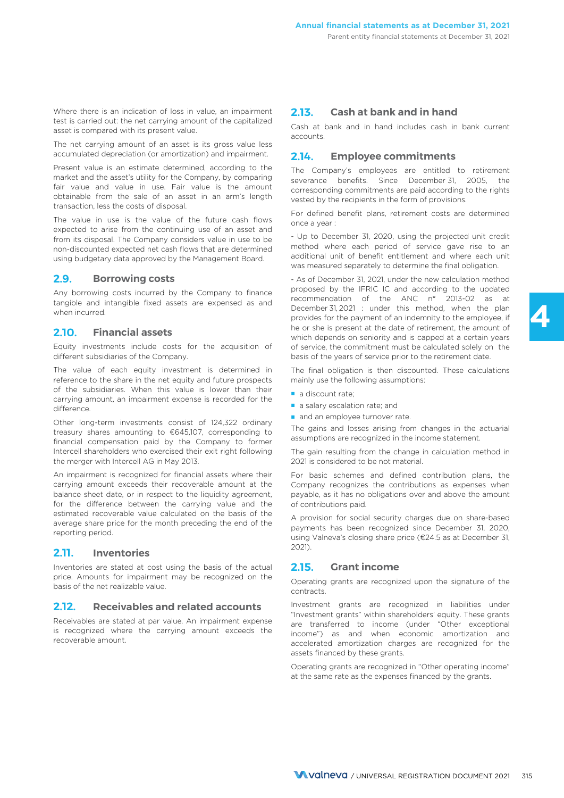Where there is an indication of loss in value, an impairment test is carried out: the net carrying amount of the capitalized asset is compared with its present value.

The net carrying amount of an asset is its gross value less accumulated depreciation (or amortization) and impairment.

Present value is an estimate determined, according to the market and the asset's utility for the Company, by comparing fair value and value in use. Fair value is the amount obtainable from the sale of an asset in an arm's length transaction, less the costs of disposal.

The value in use is the value of the future cash flows expected to arise from the continuing use of an asset and from its disposal. The Company considers value in use to be non-discounted expected net cash flows that are determined using budgetary data approved by the Management Board.

#### **2.9. Borrowing costs**

Any borrowing costs incurred by the Company to finance tangible and intangible fixed assets are expensed as and when incurred.

#### **2.10. Financial assets**

Equity investments include costs for the acquisition of different subsidiaries of the Company.

The value of each equity investment is determined in reference to the share in the net equity and future prospects of the subsidiaries. When this value is lower than their carrying amount, an impairment expense is recorded for the difference.

Other long-term investments consist of 124,322 ordinary treasury shares amounting to €645,107, corresponding to financial compensation paid by the Company to former Intercell shareholders who exercised their exit right following the merger with Intercell AG in May 2013.

An impairment is recognized for financial assets where their carrying amount exceeds their recoverable amount at the balance sheet date, or in respect to the liquidity agreement. for the difference between the carrying value and the estimated recoverable value calculated on the basis of the average share price for the month preceding the end of the reporting period.

#### **2.11. Inventories**

Inventories are stated at cost using the basis of the actual price. Amounts for impairment may be recognized on the basis of the net realizable value.

#### **2.12. Receivables and related accounts**

Receivables are stated at par value. An impairment expense is recognized where the carrying amount exceeds the recoverable amount.

### **2.13. Cash at bank and in hand**

Cash at bank and in hand includes cash in bank current accounts.

#### **2.14. Employee commitments**

The Company's employees are entitled to retirement severance benefits. Since December 31, 2005, the corresponding commitments are paid according to the rights vested by the recipients in the form of provisions.

For defined benefit plans, retirement costs are determined once a year :

- Up to December 31, 2020, using the projected unit credit method where each period of service gave rise to an additional unit of benefit entitlement and where each unit was measured separately to determine the final obligation.

- As of December 31, 2021, under the new calculation method proposed by the IFRIC IC and according to the updated recommendation of the ANC n° 2013-02 as at December 31, 2021 : under this method, when the plan provides for the payment of an indemnity to the employee, if he or she is present at the date of retirement, the amount of which depends on seniority and is capped at a certain years of service, the commitment must be calculated solely on the basis of the years of service prior to the retirement date.

The final obligation is then discounted. These calculations mainly use the following assumptions:

- a discount rate;
- a salary escalation rate; and
- and an employee turnover rate.

The gains and losses arising from changes in the actuarial assumptions are recognized in the income statement.

The gain resulting from the change in calculation method in 2021 is considered to be not material.

For basic schemes and defined contribution plans, the Company recognizes the contributions as expenses when payable, as it has no obligations over and above the amount of contributions paid.

A provision for social security charges due on share-based payments has been recognized since December 31, 2020, using Valneva's closing share price (€24.5 as at December 31, 2021).

#### **2.15. Grant income**

Operating grants are recognized upon the signature of the contracts.

Investment grants are recognized in liabilities under "Investment grants" within shareholders' equity. These grants are transferred to income (under "Other exceptional income") as and when economic amortization and accelerated amortization charges are recognized for the assets financed by these grants.

Operating grants are recognized in "Other operating income" at the same rate as the expenses financed by the grants.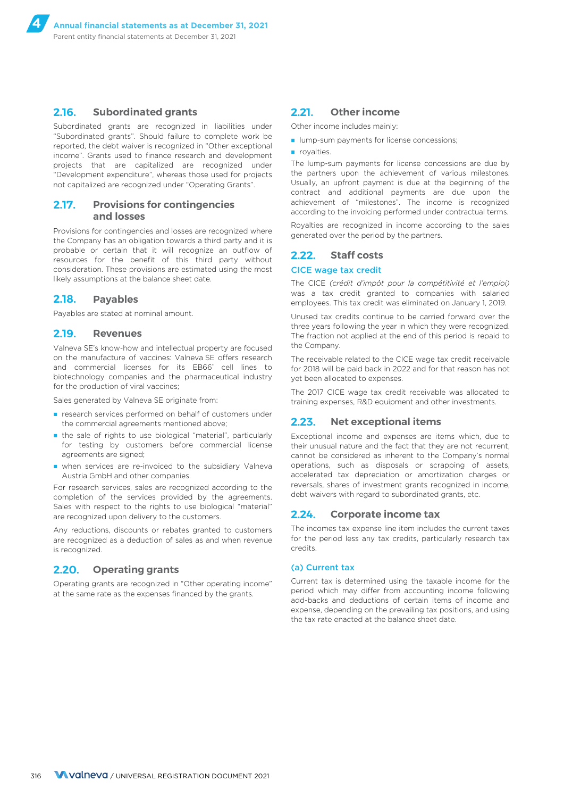#### **2.16. Subordinated grants**

Subordinated grants are recognized in liabilities under "Subordinated grants". Should failure to complete work be reported, the debt waiver is recognized in "Other exceptional income". Grants used to finance research and development projects that are capitalized are recognized under "Development expenditure", whereas those used for projects not capitalized are recognized under "Operating Grants".

#### **2.17. Provisions for contingencies and losses**

Provisions for contingencies and losses are recognized where the Company has an obligation towards a third party and it is probable or certain that it will recognize an outflow of resources for the benefit of this third party without consideration. These provisions are estimated using the most likely assumptions at the balance sheet date.

#### **2.18. Payables**

Payables are stated at nominal amount.

#### **2.19. Revenues**

Valneva SE's know-how and intellectual property are focused on the manufacture of vaccines: Valneva SE offers research and commercial licenses for its EB66® cell lines to biotechnology companies and the pharmaceutical industry for the production of viral vaccines;

Sales generated by Valneva SE originate from:

- research services performed on behalf of customers under the commercial agreements mentioned above;
- the sale of rights to use biological "material", particularly for testing by customers before commercial license agreements are signed;
- when services are re-invoiced to the subsidiary Valneva Austria GmbH and other companies.

For research services, sales are recognized according to the completion of the services provided by the agreements. Sales with respect to the rights to use biological "material" are recognized upon delivery to the customers.

Any reductions, discounts or rebates granted to customers are recognized as a deduction of sales as and when revenue is recognized.

### **2.20. Operating grants**

Operating grants are recognized in "Other operating income" at the same rate as the expenses financed by the grants.

### **2.21. Other income**

Other income includes mainly:

- lump-sum payments for license concessions;
- royalties

The lump-sum payments for license concessions are due by the partners upon the achievement of various milestones. Usually, an upfront payment is due at the beginning of the contract and additional payments are due upon the achievement of "milestones". The income is recognized according to the invoicing performed under contractual terms.

Royalties are recognized in income according to the sales generated over the period by the partners.

#### **2.22. Staff costs**

#### CICE wage tax credit

The CICE *(crédit d'impôt pour la compétitivité et l'emploi)* was a tax credit granted to companies with salaried employees. This tax credit was eliminated on January 1, 2019.

Unused tax credits continue to be carried forward over the three years following the year in which they were recognized. The fraction not applied at the end of this period is repaid to the Company.

The receivable related to the CICE wage tax credit receivable for 2018 will be paid back in 2022 and for that reason has not yet been allocated to expenses.

The 2017 CICE wage tax credit receivable was allocated to training expenses, R&D equipment and other investments.

### **2.23. Net exceptional items**

Exceptional income and expenses are items which, due to their unusual nature and the fact that they are not recurrent, cannot be considered as inherent to the Company's normal operations, such as disposals or scrapping of assets, accelerated tax depreciation or amortization charges or reversals, shares of investment grants recognized in income, debt waivers with regard to subordinated grants, etc.

### **2.24. Corporate income tax**

The incomes tax expense line item includes the current taxes for the period less any tax credits, particularly research tax credits.

#### (a) Current tax

Current tax is determined using the taxable income for the period which may differ from accounting income following add-backs and deductions of certain items of income and expense, depending on the prevailing tax positions, and using the tax rate enacted at the balance sheet date.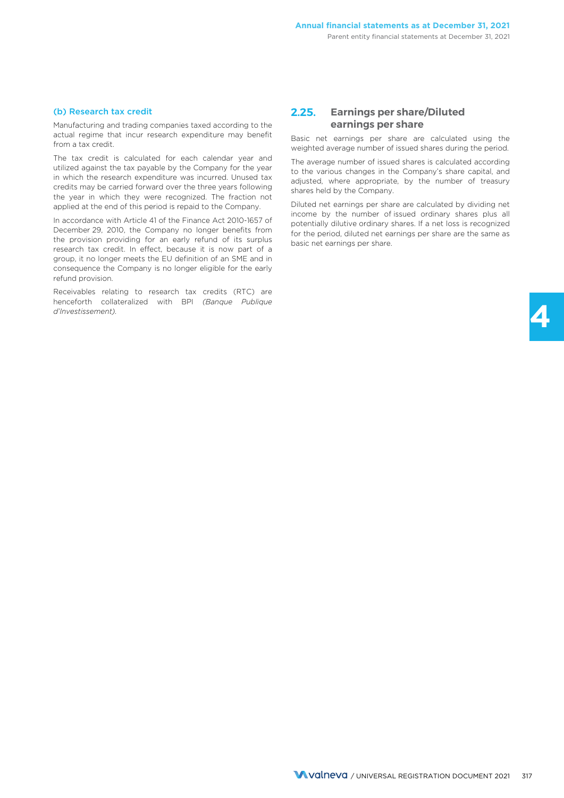#### (b) Research tax credit

Manufacturing and trading companies taxed according to the actual regime that incur research expenditure may benefit from a tax credit.

The tax credit is calculated for each calendar year and utilized against the tax payable by the Company for the year in which the research expenditure was incurred. Unused tax credits may be carried forward over the three years following the year in which they were recognized. The fraction not applied at the end of this period is repaid to the Company.

In accordance with Article 41 of the Finance Act 2010-1657 of December 29, 2010, the Company no longer benefits from the provision providing for an early refund of its surplus research tax credit. In effect, because it is now part of a group, it no longer meets the EU definition of an SME and in consequence the Company is no longer eligible for the early refund provision.

Receivables relating to research tax credits (RTC) are henceforth collateralized with BPI *(Banque Publique d'Investissement).*

### **2.25. Earnings per share/Diluted earnings per share**

Basic net earnings per share are calculated using the weighted average number of issued shares during the period.

The average number of issued shares is calculated according to the various changes in the Company's share capital, and adjusted, where appropriate, by the number of treasury shares held by the Company.

Diluted net earnings per share are calculated by dividing net income by the number of issued ordinary shares plus all potentially dilutive ordinary shares. If a net loss is recognized for the period, diluted net earnings per share are the same as basic net earnings per share.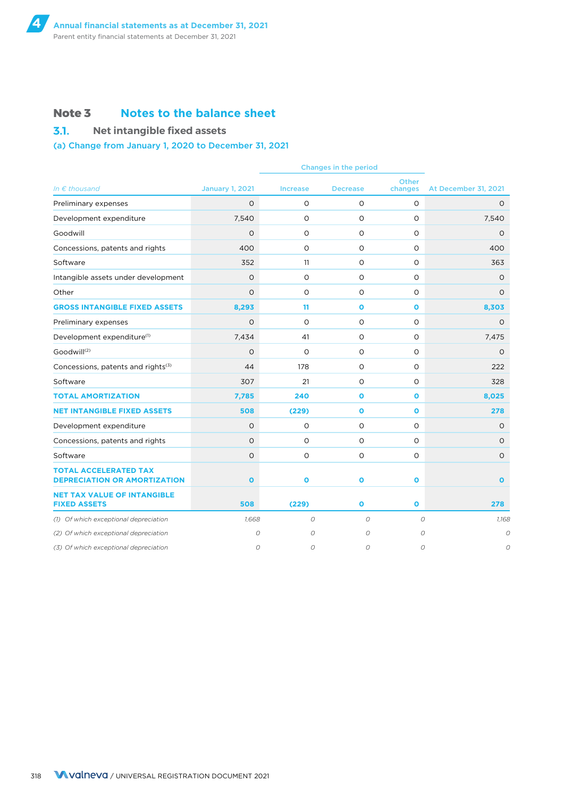### **Note 3 Notes to the balance sheet**

**3.1. Net intangible fixed assets**

### (a) Change from January 1, 2020 to December 31, 2021

| In $\epsilon$ thousand                                              | <b>January 1, 2021</b> | <b>Increase</b> | <b>Decrease</b> | <b>Other</b><br>changes | At December 31, 2021 |
|---------------------------------------------------------------------|------------------------|-----------------|-----------------|-------------------------|----------------------|
| Preliminary expenses                                                | $\circ$                | $\circ$         | $\circ$         | $\circ$                 | $\circ$              |
| Development expenditure                                             | 7,540                  | $\circ$         | $\circ$         | $\Omega$                | 7,540                |
| Goodwill                                                            | $\circ$                | 0               | 0               | $\circ$                 | $\circ$              |
| Concessions, patents and rights                                     | 400                    | $\circ$         | O               | 0                       | 400                  |
| Software                                                            | 352                    | 11              | 0               | 0                       | 363                  |
| Intangible assets under development                                 | $\circ$                | $\circ$         | O               | $\circ$                 | O                    |
| Other                                                               | $\circ$                | $\circ$         | $\circ$         | $\Omega$                | $\circ$              |
| <b>GROSS INTANGIBLE FIXED ASSETS</b>                                | 8,293                  | 11              | $\mathbf{o}$    | $\mathbf{o}$            | 8,303                |
| Preliminary expenses                                                | $\circ$                | $\circ$         | $\circ$         | $\circ$                 | $\circ$              |
| Development expenditure <sup>(1)</sup>                              | 7,434                  | 41              | $\circ$         | $\circ$                 | 7,475                |
| Goodwill <sup>(2)</sup>                                             | $\circ$                | $\circ$         | $\circ$         | $\Omega$                | $\circ$              |
| Concessions, patents and rights(3)                                  | 44                     | 178             | O               | $\circ$                 | 222                  |
| Software                                                            | 307                    | 21              | 0               | $\Omega$                | 328                  |
| <b>TOTAL AMORTIZATION</b>                                           | 7,785                  | 240             | $\mathbf{o}$    | $\mathbf{o}$            | 8,025                |
| <b>NET INTANGIBLE FIXED ASSETS</b>                                  | 508                    | (229)           | $\mathbf{o}$    | $\mathbf{o}$            | 278                  |
| Development expenditure                                             | $\circ$                | O               | 0               | 0                       | $\circ$              |
| Concessions, patents and rights                                     | $\circ$                | O               | O               | O                       | O                    |
| Software                                                            | $\mathsf O$            | $\circ$         | O               | $\circ$                 | $\circ$              |
| <b>TOTAL ACCELERATED TAX</b><br><b>DEPRECIATION OR AMORTIZATION</b> | $\mathbf{o}$           | $\bullet$       | $\mathbf{o}$    | $\mathbf{o}$            | $\mathbf{o}$         |
| <b>NET TAX VALUE OF INTANGIBLE</b><br><b>FIXED ASSETS</b>           | 508                    | (229)           | $\mathbf{o}$    | $\mathbf{o}$            | 278                  |
| (1) Of which exceptional depreciation                               | 1,668                  | $\cal O$        | $\circ$         | $\cal O$                | 1,168                |
| (2) Of which exceptional depreciation                               | $\mathcal{O}$          | $\circ$         | 0               | $\mathcal{O}$           | $\overline{O}$       |
| (3) Of which exceptional depreciation                               | $\mathcal{O}$          | $\mathcal{O}$   | 0               | $\cal O$                | 0                    |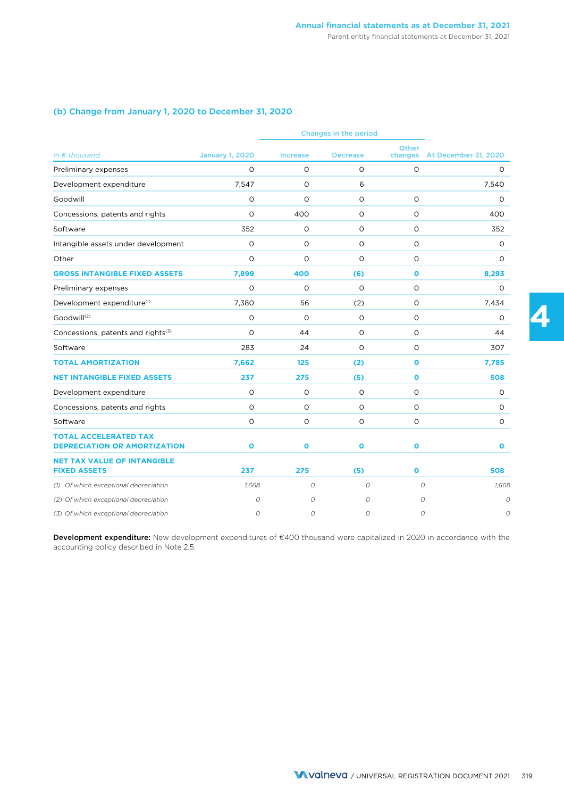### (b) Change from January 1, 2020 to December 31, 2020

| Changes in the period                                               |                        |                 |                 |              |                              |
|---------------------------------------------------------------------|------------------------|-----------------|-----------------|--------------|------------------------------|
| In $\epsilon$ thousand                                              | <b>January 1, 2020</b> | <b>Increase</b> | <b>Decrease</b> | Other        | changes At December 31, 2020 |
| Preliminary expenses                                                | $\Omega$               | $\circ$         | $\circ$         | $\circ$      | 0                            |
| Development expenditure                                             | 7,547                  | $\circ$         | 6               |              | 7,540                        |
| Goodwill                                                            | O                      | O               | O               | O            | 0                            |
| Concessions, patents and rights                                     | $\circ$                | 400             | $\circ$         | O            | 400                          |
| Software                                                            | 352                    | 0               | O               | O            | 352                          |
| Intangible assets under development                                 | $\circ$                | O               | O               | O            | O                            |
| Other                                                               | $\Omega$               | $\Omega$        | $\Omega$        | $\circ$      | $\Omega$                     |
| <b>GROSS INTANGIBLE FIXED ASSETS</b>                                | 7,899                  | 400             | (6)             | $\mathbf{o}$ | 8,293                        |
| Preliminary expenses                                                | $\circ$                | $\circ$         | $\circ$         | O            | $\circ$                      |
| Development expenditure <sup>(1)</sup>                              | 7,380                  | 56              | (2)             | O            | 7,434                        |
| Goodwill <sup>(2)</sup>                                             | $\circ$                | $\circ$         | $\circ$         | $\circ$      | O                            |
| Concessions, patents and rights(3)                                  | $\circ$                | 44              | O               | O            | 44                           |
| Software                                                            | 283                    | 24              | $\circ$         | $\circ$      | 307                          |
| <b>TOTAL AMORTIZATION</b>                                           | 7,662                  | 125             | (2)             | $\mathbf{o}$ | 7,785                        |
| <b>NET INTANGIBLE FIXED ASSETS</b>                                  | 237                    | 275             | (5)             | $\mathbf{o}$ | 508                          |
| Development expenditure                                             | $\circ$                | O               | O               | O            | 0                            |
| Concessions, patents and rights                                     | O                      | O               | 0               | 0            | 0                            |
| Software                                                            | $\circ$                | $\circ$         | $\circ$         | O            | $\circ$                      |
| <b>TOTAL ACCELERATED TAX</b><br><b>DEPRECIATION OR AMORTIZATION</b> | $\mathbf{o}$           | $\bullet$       | $\mathbf{o}$    | $\bullet$    | O                            |
| <b>NET TAX VALUE OF INTANGIBLE</b><br><b>FIXED ASSETS</b>           | 237                    | 275             | (5)             | $\mathbf{o}$ | 508                          |
| (1) Of which exceptional depreciation                               | 1.668                  | $\mathcal{O}$   | $\mathcal{O}$   |              | $\mathcal{O}$<br>1,668       |
| (2) Of which exceptional depreciation                               | 0                      | 0               | 0               |              | 0                            |
| (3) Of which exceptional depreciation                               | 0                      | 0               | $\Omega$        |              | 0<br>C                       |

Development expenditure: New development expenditures of €400 thousand were capitalized in 2020 in accordance with the accounting policy described in Note 2.5.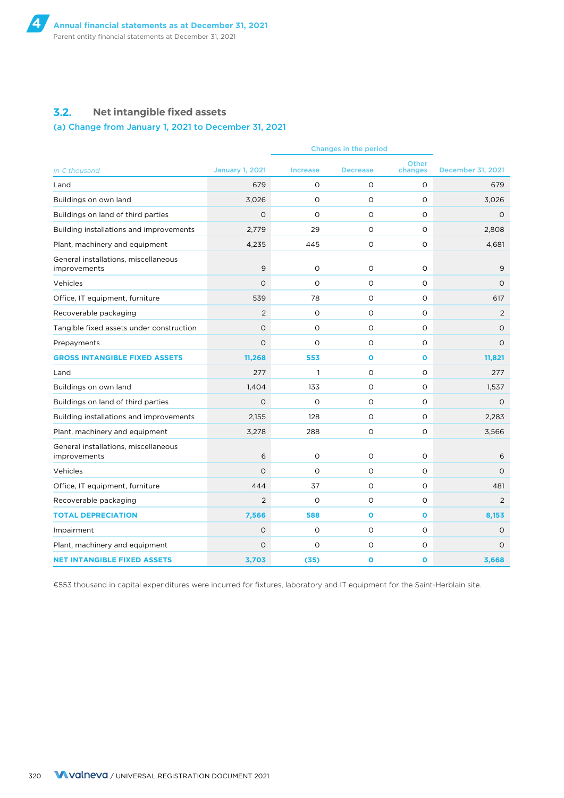### **3.2. Net intangible fixed assets**

### (a) Change from January 1, 2021 to December 31, 2021

| <b>Other</b><br><b>December 31, 2021</b><br>In $\epsilon$ thousand<br><b>January 1, 2021</b><br><b>Increase</b><br><b>Decrease</b><br>changes<br>679<br>$\circ$<br>$\circ$<br>$\circ$<br>679<br>Land<br>Buildings on own land<br>3,026<br>$\Omega$<br>$\circ$<br>$\circ$<br>3,026<br>$\circ$<br>$\circ$<br>$\circ$<br>$\circ$<br>Buildings on land of third parties<br>$\circ$<br>29<br>Building installations and improvements<br>2,779<br>$\circ$<br>$\circ$<br>2,808<br>O<br>Plant, machinery and equipment<br>4,235<br>445<br>0<br>4,681<br>General installations, miscellaneous<br>9<br>$\circ$<br>$\circ$<br>$\Omega$<br>9<br>improvements<br>$\circ$<br>$\circ$<br>$\Omega$<br>$\circ$<br>Vehicles<br>$\circ$<br>Office, IT equipment, furniture<br>539<br>78<br>$\circ$<br>$\circ$<br>617<br>Recoverable packaging<br>$\overline{2}$<br>$\Omega$<br>$\circ$<br>$\circ$<br>2<br>$\circ$<br>$\circ$<br>O<br>$\circ$<br>Tangible fixed assets under construction<br>$\circ$<br>$\circ$<br>$\Omega$<br>$\circ$<br>$\circ$<br>$\circ$<br>Prepayments<br><b>GROSS INTANGIBLE FIXED ASSETS</b><br>11,268<br>553<br>$\mathbf{o}$<br>$\mathbf{o}$<br>11,821<br>277<br>$\mathbf{1}$<br>$\circ$<br>$\circ$<br>277<br>Land<br>Buildings on own land<br>1,404<br>133<br>$\circ$<br>$\Omega$<br>1,537<br>$\Omega$<br>$\circ$<br>$\circ$<br>$\circ$<br>Buildings on land of third parties<br>$\Omega$<br>2,155<br>128<br>$\circ$<br>$\circ$<br>Building installations and improvements<br>2,283<br>Plant, machinery and equipment<br>3,278<br>288<br>O<br>$\circ$<br>3,566<br>General installations, miscellaneous<br>6<br>$\circ$<br>O<br>$\circ$<br>6<br>improvements<br>$\Omega$<br>Vehicles<br>$\Omega$<br>$\circ$<br>$\Omega$<br>$\Omega$<br>37<br>$\circ$<br>Office, IT equipment, furniture<br>444<br>$\circ$<br>481<br>$\circ$<br>Recoverable packaging<br>$\overline{2}$<br>$\circ$<br>$\Omega$<br>2<br><b>TOTAL DEPRECIATION</b><br>588<br>7,566<br>$\mathbf{o}$<br>$\mathbf{o}$<br>8,153<br>$\circ$<br>$\circ$<br>O<br>$\circ$<br>Impairment<br>O<br>$\circ$<br>O<br>$\circ$<br>Plant, machinery and equipment<br>O<br>$\Omega$<br><b>NET INTANGIBLE FIXED ASSETS</b><br>3,703<br>(35)<br>O<br>$\mathbf{o}$<br>3,668 |  |  |  |  |
|--------------------------------------------------------------------------------------------------------------------------------------------------------------------------------------------------------------------------------------------------------------------------------------------------------------------------------------------------------------------------------------------------------------------------------------------------------------------------------------------------------------------------------------------------------------------------------------------------------------------------------------------------------------------------------------------------------------------------------------------------------------------------------------------------------------------------------------------------------------------------------------------------------------------------------------------------------------------------------------------------------------------------------------------------------------------------------------------------------------------------------------------------------------------------------------------------------------------------------------------------------------------------------------------------------------------------------------------------------------------------------------------------------------------------------------------------------------------------------------------------------------------------------------------------------------------------------------------------------------------------------------------------------------------------------------------------------------------------------------------------------------------------------------------------------------------------------------------------------------------------------------------------------------------------------------------------------------------------------------------------------------------------------------------------------------------------------------------------------------------------------------------------------------------------------------------------------------------------|--|--|--|--|
|                                                                                                                                                                                                                                                                                                                                                                                                                                                                                                                                                                                                                                                                                                                                                                                                                                                                                                                                                                                                                                                                                                                                                                                                                                                                                                                                                                                                                                                                                                                                                                                                                                                                                                                                                                                                                                                                                                                                                                                                                                                                                                                                                                                                                          |  |  |  |  |
|                                                                                                                                                                                                                                                                                                                                                                                                                                                                                                                                                                                                                                                                                                                                                                                                                                                                                                                                                                                                                                                                                                                                                                                                                                                                                                                                                                                                                                                                                                                                                                                                                                                                                                                                                                                                                                                                                                                                                                                                                                                                                                                                                                                                                          |  |  |  |  |
|                                                                                                                                                                                                                                                                                                                                                                                                                                                                                                                                                                                                                                                                                                                                                                                                                                                                                                                                                                                                                                                                                                                                                                                                                                                                                                                                                                                                                                                                                                                                                                                                                                                                                                                                                                                                                                                                                                                                                                                                                                                                                                                                                                                                                          |  |  |  |  |
|                                                                                                                                                                                                                                                                                                                                                                                                                                                                                                                                                                                                                                                                                                                                                                                                                                                                                                                                                                                                                                                                                                                                                                                                                                                                                                                                                                                                                                                                                                                                                                                                                                                                                                                                                                                                                                                                                                                                                                                                                                                                                                                                                                                                                          |  |  |  |  |
|                                                                                                                                                                                                                                                                                                                                                                                                                                                                                                                                                                                                                                                                                                                                                                                                                                                                                                                                                                                                                                                                                                                                                                                                                                                                                                                                                                                                                                                                                                                                                                                                                                                                                                                                                                                                                                                                                                                                                                                                                                                                                                                                                                                                                          |  |  |  |  |
|                                                                                                                                                                                                                                                                                                                                                                                                                                                                                                                                                                                                                                                                                                                                                                                                                                                                                                                                                                                                                                                                                                                                                                                                                                                                                                                                                                                                                                                                                                                                                                                                                                                                                                                                                                                                                                                                                                                                                                                                                                                                                                                                                                                                                          |  |  |  |  |
|                                                                                                                                                                                                                                                                                                                                                                                                                                                                                                                                                                                                                                                                                                                                                                                                                                                                                                                                                                                                                                                                                                                                                                                                                                                                                                                                                                                                                                                                                                                                                                                                                                                                                                                                                                                                                                                                                                                                                                                                                                                                                                                                                                                                                          |  |  |  |  |
|                                                                                                                                                                                                                                                                                                                                                                                                                                                                                                                                                                                                                                                                                                                                                                                                                                                                                                                                                                                                                                                                                                                                                                                                                                                                                                                                                                                                                                                                                                                                                                                                                                                                                                                                                                                                                                                                                                                                                                                                                                                                                                                                                                                                                          |  |  |  |  |
|                                                                                                                                                                                                                                                                                                                                                                                                                                                                                                                                                                                                                                                                                                                                                                                                                                                                                                                                                                                                                                                                                                                                                                                                                                                                                                                                                                                                                                                                                                                                                                                                                                                                                                                                                                                                                                                                                                                                                                                                                                                                                                                                                                                                                          |  |  |  |  |
|                                                                                                                                                                                                                                                                                                                                                                                                                                                                                                                                                                                                                                                                                                                                                                                                                                                                                                                                                                                                                                                                                                                                                                                                                                                                                                                                                                                                                                                                                                                                                                                                                                                                                                                                                                                                                                                                                                                                                                                                                                                                                                                                                                                                                          |  |  |  |  |
|                                                                                                                                                                                                                                                                                                                                                                                                                                                                                                                                                                                                                                                                                                                                                                                                                                                                                                                                                                                                                                                                                                                                                                                                                                                                                                                                                                                                                                                                                                                                                                                                                                                                                                                                                                                                                                                                                                                                                                                                                                                                                                                                                                                                                          |  |  |  |  |
|                                                                                                                                                                                                                                                                                                                                                                                                                                                                                                                                                                                                                                                                                                                                                                                                                                                                                                                                                                                                                                                                                                                                                                                                                                                                                                                                                                                                                                                                                                                                                                                                                                                                                                                                                                                                                                                                                                                                                                                                                                                                                                                                                                                                                          |  |  |  |  |
|                                                                                                                                                                                                                                                                                                                                                                                                                                                                                                                                                                                                                                                                                                                                                                                                                                                                                                                                                                                                                                                                                                                                                                                                                                                                                                                                                                                                                                                                                                                                                                                                                                                                                                                                                                                                                                                                                                                                                                                                                                                                                                                                                                                                                          |  |  |  |  |
|                                                                                                                                                                                                                                                                                                                                                                                                                                                                                                                                                                                                                                                                                                                                                                                                                                                                                                                                                                                                                                                                                                                                                                                                                                                                                                                                                                                                                                                                                                                                                                                                                                                                                                                                                                                                                                                                                                                                                                                                                                                                                                                                                                                                                          |  |  |  |  |
|                                                                                                                                                                                                                                                                                                                                                                                                                                                                                                                                                                                                                                                                                                                                                                                                                                                                                                                                                                                                                                                                                                                                                                                                                                                                                                                                                                                                                                                                                                                                                                                                                                                                                                                                                                                                                                                                                                                                                                                                                                                                                                                                                                                                                          |  |  |  |  |
|                                                                                                                                                                                                                                                                                                                                                                                                                                                                                                                                                                                                                                                                                                                                                                                                                                                                                                                                                                                                                                                                                                                                                                                                                                                                                                                                                                                                                                                                                                                                                                                                                                                                                                                                                                                                                                                                                                                                                                                                                                                                                                                                                                                                                          |  |  |  |  |
|                                                                                                                                                                                                                                                                                                                                                                                                                                                                                                                                                                                                                                                                                                                                                                                                                                                                                                                                                                                                                                                                                                                                                                                                                                                                                                                                                                                                                                                                                                                                                                                                                                                                                                                                                                                                                                                                                                                                                                                                                                                                                                                                                                                                                          |  |  |  |  |
|                                                                                                                                                                                                                                                                                                                                                                                                                                                                                                                                                                                                                                                                                                                                                                                                                                                                                                                                                                                                                                                                                                                                                                                                                                                                                                                                                                                                                                                                                                                                                                                                                                                                                                                                                                                                                                                                                                                                                                                                                                                                                                                                                                                                                          |  |  |  |  |
|                                                                                                                                                                                                                                                                                                                                                                                                                                                                                                                                                                                                                                                                                                                                                                                                                                                                                                                                                                                                                                                                                                                                                                                                                                                                                                                                                                                                                                                                                                                                                                                                                                                                                                                                                                                                                                                                                                                                                                                                                                                                                                                                                                                                                          |  |  |  |  |
|                                                                                                                                                                                                                                                                                                                                                                                                                                                                                                                                                                                                                                                                                                                                                                                                                                                                                                                                                                                                                                                                                                                                                                                                                                                                                                                                                                                                                                                                                                                                                                                                                                                                                                                                                                                                                                                                                                                                                                                                                                                                                                                                                                                                                          |  |  |  |  |
|                                                                                                                                                                                                                                                                                                                                                                                                                                                                                                                                                                                                                                                                                                                                                                                                                                                                                                                                                                                                                                                                                                                                                                                                                                                                                                                                                                                                                                                                                                                                                                                                                                                                                                                                                                                                                                                                                                                                                                                                                                                                                                                                                                                                                          |  |  |  |  |
|                                                                                                                                                                                                                                                                                                                                                                                                                                                                                                                                                                                                                                                                                                                                                                                                                                                                                                                                                                                                                                                                                                                                                                                                                                                                                                                                                                                                                                                                                                                                                                                                                                                                                                                                                                                                                                                                                                                                                                                                                                                                                                                                                                                                                          |  |  |  |  |
|                                                                                                                                                                                                                                                                                                                                                                                                                                                                                                                                                                                                                                                                                                                                                                                                                                                                                                                                                                                                                                                                                                                                                                                                                                                                                                                                                                                                                                                                                                                                                                                                                                                                                                                                                                                                                                                                                                                                                                                                                                                                                                                                                                                                                          |  |  |  |  |
|                                                                                                                                                                                                                                                                                                                                                                                                                                                                                                                                                                                                                                                                                                                                                                                                                                                                                                                                                                                                                                                                                                                                                                                                                                                                                                                                                                                                                                                                                                                                                                                                                                                                                                                                                                                                                                                                                                                                                                                                                                                                                                                                                                                                                          |  |  |  |  |
|                                                                                                                                                                                                                                                                                                                                                                                                                                                                                                                                                                                                                                                                                                                                                                                                                                                                                                                                                                                                                                                                                                                                                                                                                                                                                                                                                                                                                                                                                                                                                                                                                                                                                                                                                                                                                                                                                                                                                                                                                                                                                                                                                                                                                          |  |  |  |  |
|                                                                                                                                                                                                                                                                                                                                                                                                                                                                                                                                                                                                                                                                                                                                                                                                                                                                                                                                                                                                                                                                                                                                                                                                                                                                                                                                                                                                                                                                                                                                                                                                                                                                                                                                                                                                                                                                                                                                                                                                                                                                                                                                                                                                                          |  |  |  |  |

€553 thousand in capital expenditures were incurred for fixtures, laboratory and IT equipment for the Saint-Herblain site.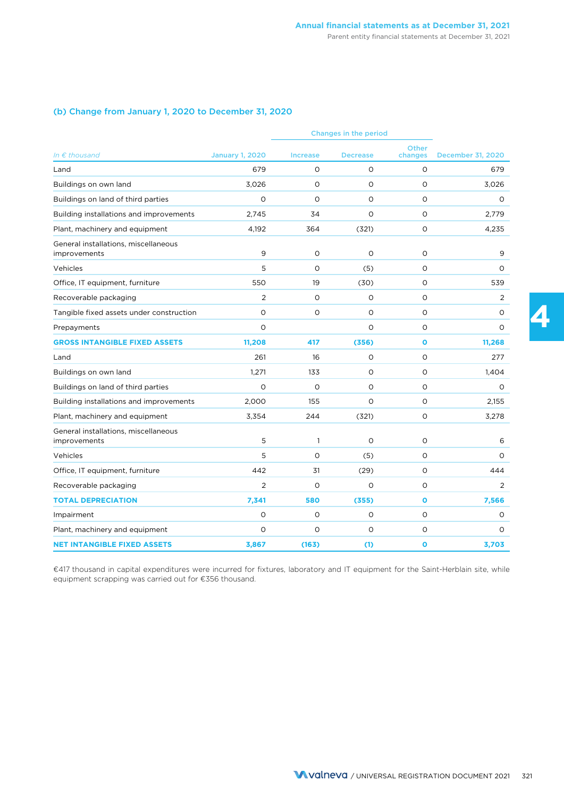### (b) Change from January 1, 2020 to December 31, 2020

|                                                      | Changes in the period  |              |                 |                         |                   |
|------------------------------------------------------|------------------------|--------------|-----------------|-------------------------|-------------------|
| In $\epsilon$ thousand                               | <b>January 1, 2020</b> | Increase     | <b>Decrease</b> | <b>Other</b><br>changes | December 31, 2020 |
| Land                                                 | 679                    | 0            | O               | O                       | 679               |
| Buildings on own land                                | 3,026                  | $\Omega$     | $\Omega$        | $\Omega$                | 3,026             |
| Buildings on land of third parties                   | $\circ$                | $\circ$      | $\circ$         | $\circ$                 | $\circ$           |
| Building installations and improvements              | 2,745                  | 34           | O               | $\circ$                 | 2,779             |
| Plant, machinery and equipment                       | 4,192                  | 364          | (321)           | O                       | 4,235             |
| General installations, miscellaneous<br>improvements | 9                      | $\circ$      | O               | $\circ$                 | 9                 |
| Vehicles                                             | 5                      | $\circ$      | (5)             | $\circ$                 | 0                 |
| Office, IT equipment, furniture                      | 550                    | 19           | (30)            | O                       | 539               |
| Recoverable packaging                                | $\overline{2}$         | $\Omega$     | $\Omega$        | $\Omega$                | 2                 |
| Tangible fixed assets under construction             | O                      | $\circ$      | $\circ$         | $\circ$                 | $\circ$           |
| Prepayments                                          | $\circ$                |              | O               | $\circ$                 | 0                 |
| <b>GROSS INTANGIBLE FIXED ASSETS</b>                 | 11,208                 | 417          | (356)           | $\mathbf{o}$            | 11,268            |
| Land                                                 | 261                    | 16           | $\circ$         | $\circ$                 | 277               |
| Buildings on own land                                | 1,271                  | 133          | O               | $\circ$                 | 1,404             |
| Buildings on land of third parties                   | $\circ$                | $\circ$      | O               | $\circ$                 | 0                 |
| Building installations and improvements              | 2,000                  | 155          | O               | $\circ$                 | 2,155             |
| Plant, machinery and equipment                       | 3,354                  | 244          | (321)           | $\circ$                 | 3,278             |
| General installations, miscellaneous<br>improvements | 5                      | $\mathbf{1}$ | O               | O                       | 6                 |
| Vehicles                                             | 5                      | $\Omega$     | (5)             | $\Omega$                | $\Omega$          |
| Office, IT equipment, furniture                      | 442                    | 31           | (29)            | O                       | 444               |
| Recoverable packaging                                | $\overline{2}$         | $\circ$      | $\circ$         | O                       | 2                 |
| <b>TOTAL DEPRECIATION</b>                            | 7,341                  | 580          | (355)           | $\mathbf{o}$            | 7,566             |
| Impairment                                           | $\circ$                | $\circ$      | O               | $\circ$                 | O                 |
| Plant, machinery and equipment                       | $\circ$                | $\Omega$     | $\circ$         | O                       | $\Omega$          |
| <b>NET INTANGIBLE FIXED ASSETS</b>                   | 3,867                  | (163)        | (1)             | $\mathbf{o}$            | 3,703             |

€417 thousand in capital expenditures were incurred for fixtures, laboratory and IT equipment for the Saint-Herblain site, while equipment scrapping was carried out for €356 thousand.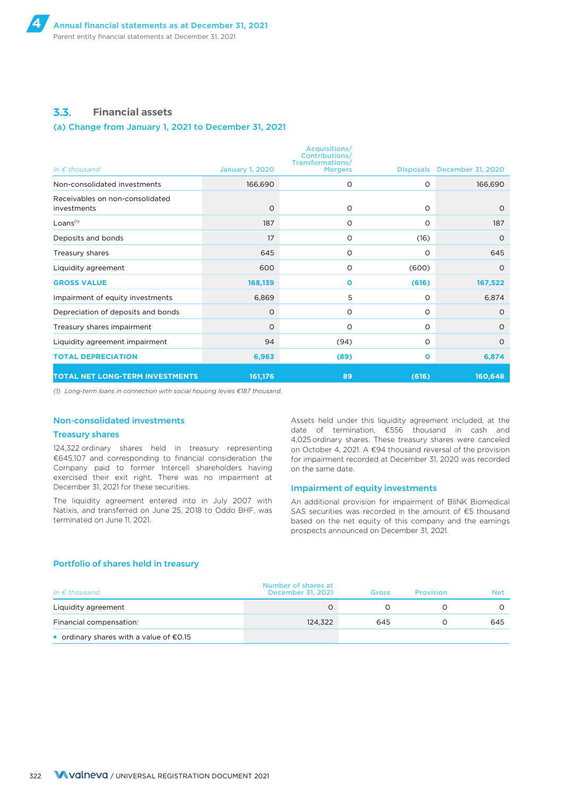### **3.3. Financial assets**

#### (a) Change from January 1, 2021 to December 31, 2021

|                                                |                        | Acquisitions/<br><b>Contributions/</b><br>Transformations/ |              |                             |
|------------------------------------------------|------------------------|------------------------------------------------------------|--------------|-----------------------------|
| In $\epsilon$ thousand                         | <b>January 1, 2020</b> | <b>Mergers</b>                                             |              | Disposals December 31, 2020 |
| Non-consolidated investments                   | 166,690                | O                                                          | $\circ$      | 166,690                     |
| Receivables on non-consolidated<br>investments | $\circ$                | O                                                          | $\circ$      | $\circ$                     |
| Loans <sup>(1)</sup>                           | 187                    | O                                                          | O            | 187                         |
| Deposits and bonds                             | 17                     | O                                                          | (16)         | $\circ$                     |
| Treasury shares                                | 645                    | O                                                          | O            | 645                         |
| Liquidity agreement                            | 600                    | $\circ$                                                    | (600)        | $\Omega$                    |
| <b>GROSS VALUE</b>                             | 168,139                | $\mathbf o$                                                | (616)        | 167,522                     |
| Impairment of equity investments               | 6,869                  | 5                                                          | O            | 6,874                       |
| Depreciation of deposits and bonds             | $\circ$                | O                                                          | O            | $\circ$                     |
| Treasury shares impairment                     | $\circ$                | $\circ$                                                    | O            | $\circ$                     |
| Liquidity agreement impairment                 | 94                     | (94)                                                       | O            | $\circ$                     |
| <b>TOTAL DEPRECIATION</b>                      | 6,963                  | (89)                                                       | $\mathbf{o}$ | 6,874                       |
| <b>TOTAL NET LONG-TERM INVESTMENTS</b>         | 161,176                | 89                                                         | (616)        | 160,648                     |

*(1) Long-term loans in connection with social housing levies €187 thousand.*

### Non-consolidated investments

#### Treasury shares

124,322 ordinary shares held in treasury representing €645,107 and corresponding to financial consideration the Company paid to former Intercell shareholders having exercised their exit right. There was no impairment at December 31, 2021 for these securities.

The liquidity agreement entered into in July 2007 with Natixis, and transferred on June 25, 2018 to Oddo BHF, was terminated on June 11, 2021.

Assets held under this liquidity agreement included, at the date of termination, €556 thousand in cash and 4,025 ordinary shares. These treasury shares were canceled on October 4, 2021. A €94 thousand reversal of the provision for impairment recorded at December 31, 2020 was recorded on the same date.

#### Impairment of equity investments

An additional provision for impairment of BliNK Biomedical SAS securities was recorded in the amount of €5 thousand based on the net equity of this company and the earnings prospects announced on December 31, 2021.

#### Portfolio of shares held in treasury

| In $\epsilon$ thousand                    | Number of shares at<br>December 31, 2021 | Gross | <b>Provision</b> | Net |
|-------------------------------------------|------------------------------------------|-------|------------------|-----|
| Liquidity agreement                       |                                          |       |                  |     |
| Financial compensation:                   | 124.322                                  | 645   |                  | 645 |
| ■ ordinary shares with a value of $€0.15$ |                                          |       |                  |     |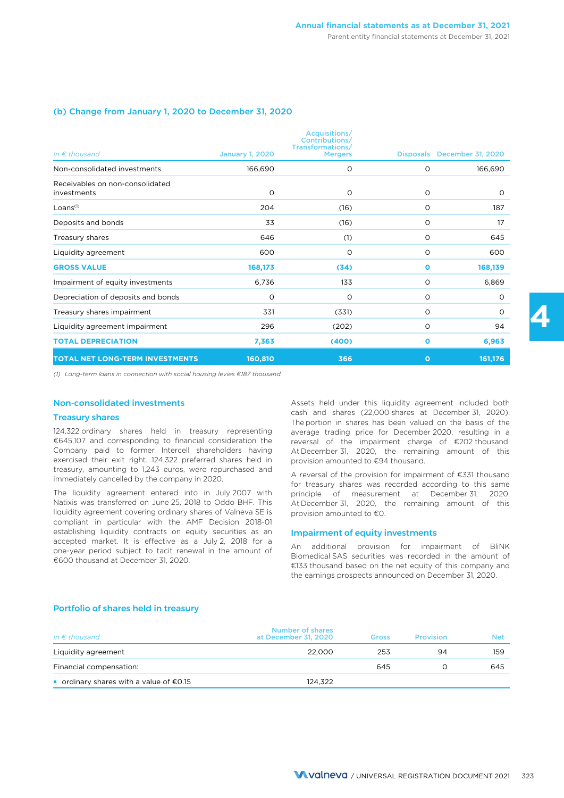#### (b) Change from January 1, 2020 to December 31, 2020

| In $\epsilon$ thousand                         | <b>January 1, 2020</b> | Acquisitions/<br><b>Contributions/</b><br>Transformations/<br><b>Mergers</b> | <b>Disposals</b> | December 31, 2020 |
|------------------------------------------------|------------------------|------------------------------------------------------------------------------|------------------|-------------------|
| Non-consolidated investments                   | 166,690                | O                                                                            | $\circ$          | 166,690           |
| Receivables on non-consolidated<br>investments | 0                      | O                                                                            | $\circ$          | $\circ$           |
| Loans <sup>(1)</sup>                           | 204                    | (16)                                                                         | O                | 187               |
| Deposits and bonds                             | 33                     | (16)                                                                         | $\circ$          | 17                |
| Treasury shares                                | 646                    | (1)                                                                          | O                | 645               |
| Liquidity agreement                            | 600                    | O                                                                            | O                | 600               |
| <b>GROSS VALUE</b>                             | 168,173                | (34)                                                                         | $\mathbf{o}$     | 168,139           |
| Impairment of equity investments               | 6,736                  | 133                                                                          | O                | 6,869             |
| Depreciation of deposits and bonds             | O                      | O                                                                            | $\circ$          | $\circ$           |
| Treasury shares impairment                     | 331                    | (331)                                                                        | $\circ$          | $\circ$           |
| Liquidity agreement impairment                 | 296                    | (202)                                                                        | O                | 94                |
| <b>TOTAL DEPRECIATION</b>                      | 7,363                  | (400)                                                                        | $\mathbf{o}$     | 6,963             |
| TOTAL NET LONG-TERM INVESTMENTS                | 160,810                | 366                                                                          | $\mathbf{o}$     | 161,176           |

*(1) Long-term loans in connection with social housing levies €187 thousand.*

#### Non-consolidated investments

#### Treasury shares

124,322 ordinary shares held in treasury representing €645,107 and corresponding to financial consideration the Company paid to former Intercell shareholders having exercised their exit right. 124,322 preferred shares held in treasury, amounting to 1,243 euros, were repurchased and immediately cancelled by the company in 2020.

The liquidity agreement entered into in July 2007 with Natixis was transferred on June 25, 2018 to Oddo BHF. This liquidity agreement covering ordinary shares of Valneva SE is compliant in particular with the AMF Decision 2018-01 establishing liquidity contracts on equity securities as an accepted market. It is effective as a July 2, 2018 for a one-year period subject to tacit renewal in the amount of €600 thousand at December 31, 2020.

Assets held under this liquidity agreement included both cash and shares (22,000 shares at December 31, 2020). The portion in shares has been valued on the basis of the average trading price for December 2020, resulting in a reversal of the impairment charge of €202 thousand. At December 31, 2020, the remaining amount of this provision amounted to €94 thousand.

A reversal of the provision for impairment of €331 thousand for treasury shares was recorded according to this same principle of measurement at December 31, 2020. At December 31, 2020, the remaining amount of this provision amounted to €0.

#### Impairment of equity investments

An additional provision for impairment of BliNK Biomedical SAS securities was recorded in the amount of €133 thousand based on the net equity of this company and the earnings prospects announced on December 31, 2020.

#### Portfolio of shares held in treasury

| In $\epsilon$ thousand                          | Number of shares<br>at December 31, 2020 | <b>Gross</b> | <b>Provision</b> | <b>Net</b> |
|-------------------------------------------------|------------------------------------------|--------------|------------------|------------|
| Liquidity agreement                             | 22,000                                   | 253          | 94               | 159        |
| Financial compensation:                         |                                          | 645          |                  | 645        |
| ordinary shares with a value of $\epsilon$ 0.15 | 124.322                                  |              |                  |            |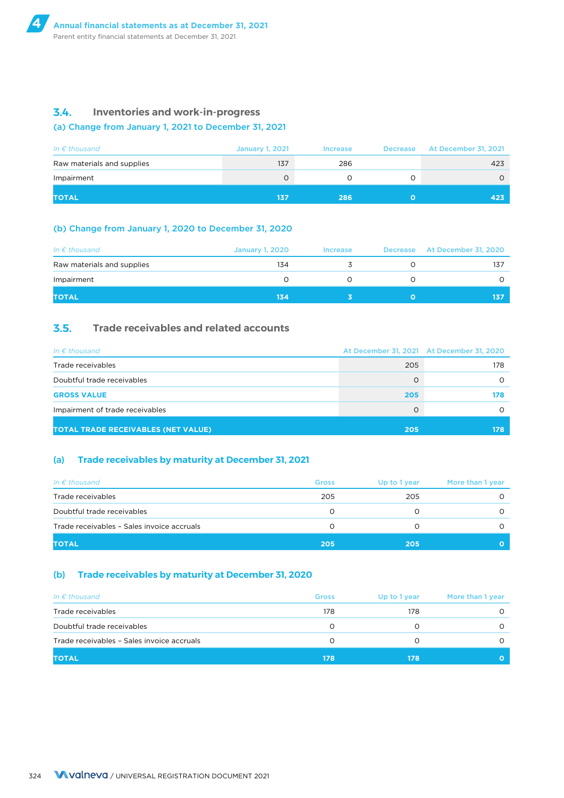### **3.4. Inventories and work-in-progress**

### (a) Change from January 1, 2021 to December 31, 2021

| In $\epsilon$ thousand     | <b>January 1, 2021</b> | <b>Increase</b> | Decrease At December 31, 2021 |
|----------------------------|------------------------|-----------------|-------------------------------|
| Raw materials and supplies | 137                    | 286             | 423                           |
| Impairment                 | 0                      |                 |                               |
| <b>TOTAL</b>               | 137                    | 286             | 423                           |

### (b) Change from January 1, 2020 to December 31, 2020

| In $\epsilon$ thousand     | <b>January 1, 2020</b> | <b>Increase</b> | Decrease At December 31, 2020 |
|----------------------------|------------------------|-----------------|-------------------------------|
| Raw materials and supplies | 134                    |                 | 137                           |
| Impairment                 |                        |                 |                               |
| <b>TOTAL</b>               | 134                    |                 | 137                           |

### **3.5. Trade receivables and related accounts**

| In $\epsilon$ thousand                     |     | At December 31, 2021 At December 31, 2020 |
|--------------------------------------------|-----|-------------------------------------------|
| Trade receivables                          | 205 | 178                                       |
| Doubtful trade receivables                 |     |                                           |
| <b>GROSS VALUE</b>                         | 205 | 178                                       |
| Impairment of trade receivables            |     |                                           |
| <b>TOTAL TRADE RECEIVABLES (NET VALUE)</b> | 205 | 178                                       |

### (a) **Trade receivables by maturity at December 31, 2021**

| In $\epsilon$ thousand                     | <b>Gross</b> | Up to 1 year | More than 1 year |
|--------------------------------------------|--------------|--------------|------------------|
| Trade receivables                          | 205          | 205          |                  |
| Doubtful trade receivables                 | O            |              |                  |
| Trade receivables - Sales invoice accruals |              |              |                  |
| <b>TOTAL</b>                               | 205          | 205          |                  |

### (b) **Trade receivables by maturity at December 31, 2020**

| In $\epsilon$ thousand                     | <b>Gross</b> | Up to 1 year | More than 1 year |
|--------------------------------------------|--------------|--------------|------------------|
| Trade receivables                          | 178          | 178          |                  |
| Doubtful trade receivables                 |              |              |                  |
| Trade receivables - Sales invoice accruals |              |              |                  |
| <b>TOTAL</b>                               | 178          | 178          |                  |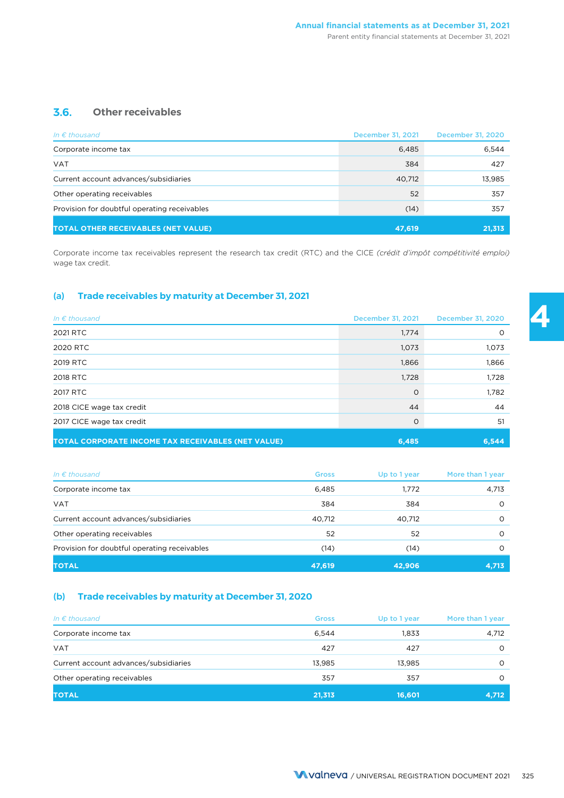### **3.6. Other receivables**

| In $\epsilon$ thousand                       | December 31, 2021 | December 31, 2020 |
|----------------------------------------------|-------------------|-------------------|
| Corporate income tax                         | 6,485             | 6,544             |
| <b>VAT</b>                                   | 384               | 427               |
| Current account advances/subsidiaries        | 40,712            | 13,985            |
| Other operating receivables                  | 52                | 357               |
| Provision for doubtful operating receivables | (14)              | 357               |
| <b>TOTAL OTHER RECEIVABLES (NET VALUE)</b>   | 47,619            | 21,313            |

Corporate income tax receivables represent the research tax credit (RTC) and the CICE *(crédit d'impôt compétitivité emploi)* wage tax credit.

### (a) **Trade receivables by maturity at December 31, 2021**

| In $\epsilon$ thousand                             | December 31, 2021 | <b>December 31, 2020</b> |
|----------------------------------------------------|-------------------|--------------------------|
| 2021 RTC                                           | 1,774             | $\Omega$                 |
| 2020 RTC                                           | 1,073             | 1,073                    |
| 2019 RTC                                           | 1,866             | 1,866                    |
| 2018 RTC                                           | 1,728             | 1,728                    |
| 2017 RTC                                           | $\Omega$          | 1,782                    |
| 2018 CICE wage tax credit                          | 44                | 44                       |
| 2017 CICE wage tax credit                          | 0                 | 51                       |
| TOTAL CORPORATE INCOME TAX RECEIVABLES (NET VALUE) | 6,485             | 6,544                    |

| In $\epsilon$ thousand                       | <b>Gross</b> | Up to 1 year | More than 1 year |
|----------------------------------------------|--------------|--------------|------------------|
| Corporate income tax                         | 6,485        | 1,772        | 4,713            |
| <b>VAT</b>                                   | 384          | 384          |                  |
| Current account advances/subsidiaries        | 40.712       | 40,712       |                  |
| Other operating receivables                  | 52           | 52           |                  |
| Provision for doubtful operating receivables | (14)         | (14)         |                  |
| <b>TOTAL</b>                                 | 47,619       | 42.906       | 4,713            |

### (b) **Trade receivables by maturity at December 31, 2020**

| In $\epsilon$ thousand                | <b>Gross</b> | Up to 1 year | More than 1 year |
|---------------------------------------|--------------|--------------|------------------|
| Corporate income tax                  | 6,544        | 1,833        | 4,712            |
| <b>VAT</b>                            | 427          | 427          | $\Omega$         |
| Current account advances/subsidiaries | 13.985       | 13.985       | $\Omega$         |
| Other operating receivables           | 357          | 357          | $\Omega$         |
| <b>TOTAL</b>                          | 21,313       | 16,601       | 4,712            |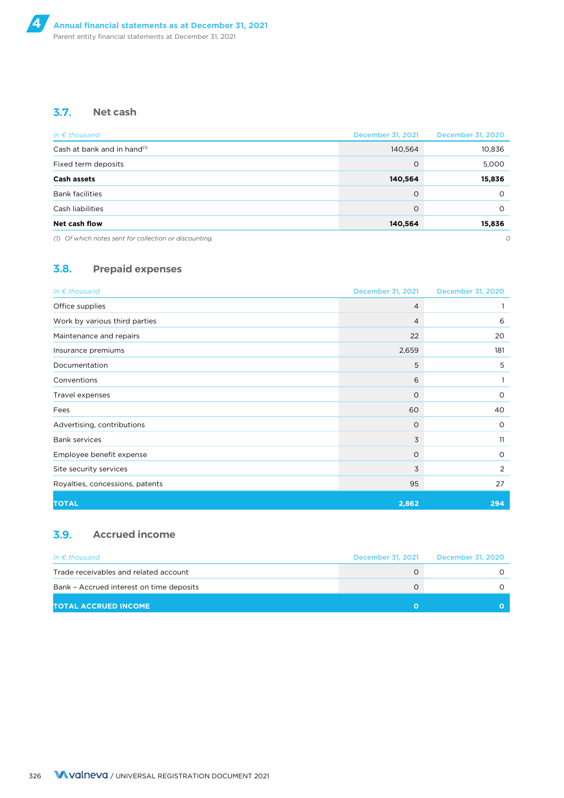### **3.7. Net cash**

| In $\epsilon$ thousand                                 | December 31, 2021 | <b>December 31, 2020</b> |
|--------------------------------------------------------|-------------------|--------------------------|
| Cash at bank and in hand <sup>(1)</sup>                | 140,564           | 10,836                   |
| Fixed term deposits                                    | $\Omega$          | 5,000                    |
| Cash assets                                            | 140,564           | 15,836                   |
| <b>Bank facilities</b>                                 | $\Omega$          | O                        |
| Cash liabilities                                       | $\Omega$          | O                        |
| Net cash flow                                          | 140,564           | 15,836                   |
| (1) Of which notes sent for collection or discounting. |                   | 0                        |

### **3.8. Prepaid expenses**

| In $\epsilon$ thousand          | December 31, 2021 | December 31, 2020 |
|---------------------------------|-------------------|-------------------|
| Office supplies                 | 4                 |                   |
| Work by various third parties   | 4                 | 6                 |
| Maintenance and repairs         | 22                | 20                |
| Insurance premiums              | 2,659             | 181               |
| Documentation                   | 5                 | 5                 |
| Conventions                     | 6                 |                   |
| Travel expenses                 | $\Omega$          | $\circ$           |
| Fees                            | 60                | 40                |
| Advertising, contributions      | $\circ$           | $\circ$           |
| <b>Bank services</b>            | 3                 | 11                |
| Employee benefit expense        | $\circ$           | $\circ$           |
| Site security services          | 3                 | 2                 |
| Royalties, concessions, patents | 95                | 27                |
| <b>TOTAL</b>                    | 2,862             | 294               |

### **3.9. Accrued income**

| In $\epsilon$ thousand                   | December 31, 2021 | December 31, 2020 |
|------------------------------------------|-------------------|-------------------|
| Trade receivables and related account    |                   |                   |
| Bank - Accrued interest on time deposits |                   |                   |
| <b>TOTAL ACCRUED INCOME</b>              |                   |                   |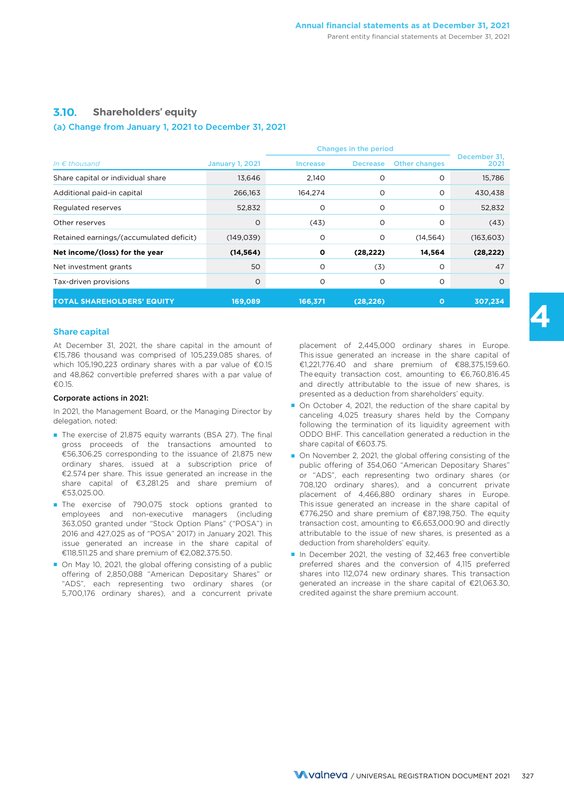### **3.10. Shareholders' equity**

#### (a) Change from January 1, 2021 to December 31, 2021

|                                         |                        | Changes in the period |                 |                      |                      |  |
|-----------------------------------------|------------------------|-----------------------|-----------------|----------------------|----------------------|--|
| In $\epsilon$ thousand                  | <b>January 1, 2021</b> | <b>Increase</b>       | <b>Decrease</b> | <b>Other changes</b> | December 31,<br>2021 |  |
| Share capital or individual share       | 13,646                 | 2,140                 | O               | O                    | 15,786               |  |
| Additional paid-in capital              | 266,163                | 164,274               | O               | $\circ$              | 430,438              |  |
| Regulated reserves                      | 52,832                 | $\circ$               | O               | $\Omega$             | 52,832               |  |
| Other reserves                          | $\circ$                | (43)                  | O               | $\circ$              | (43)                 |  |
| Retained earnings/(accumulated deficit) | (149, 039)             | O                     | O               | (14, 564)            | (163, 603)           |  |
| Net income/(loss) for the year          | (14, 564)              | $\mathbf{o}$          | (28, 222)       | 14,564               | (28, 222)            |  |
| Net investment grants                   | 50                     | $\circ$               | (3)             | O                    | 47                   |  |
| Tax-driven provisions                   | 0                      | O                     | O               | O                    | $\Omega$             |  |
| <b>TOTAL SHAREHOLDERS' EQUITY</b>       | 169,089                | 166,371               | (28, 226)       | $\mathbf{o}$         | 307.234              |  |

#### Share capital

At December 31, 2021, the share capital in the amount of €15,786 thousand was comprised of 105,239,085 shares, of which 105,190,223 ordinary shares with a par value of €0.15 and 48,862 convertible preferred shares with a par value of €0.15.

#### Corporate actions in 2021:

In 2021, the Management Board, or the Managing Director by delegation, noted:

- The exercise of 21,875 equity warrants (BSA 27). The final gross proceeds of the transactions amounted to €56,306.25 corresponding to the issuance of 21,875 new ordinary shares, issued at a subscription price of €2.574 per share. This issue generated an increase in the share capital of €3,281.25 and share premium of €53,025.00.
- The exercise of 790,075 stock options granted to employees and non-executive managers (including 363,050 granted under "Stock Option Plans" ("POSA") in 2016 and 427,025 as of "POSA" 2017) in January 2021. This issue generated an increase in the share capital of €118,511.25 and share premium of €2,082,375.50.
- On May 10, 2021, the global offering consisting of a public offering of 2,850,088 "American Depositary Shares" or "ADS", each representing two ordinary shares (or 5,700,176 ordinary shares), and a concurrent private

placement of 2,445,000 ordinary shares in Europe. This issue generated an increase in the share capital of €1,221,776.40 and share premium of €88,375,159.60. The equity transaction cost, amounting to €6,760,816.45 and directly attributable to the issue of new shares, is presented as a deduction from shareholders' equity.

- On October 4, 2021, the reduction of the share capital by canceling 4,025 treasury shares held by the Company following the termination of its liquidity agreement with ODDO BHF. This cancellation generated a reduction in the share capital of €603.75.
- On November 2, 2021, the global offering consisting of the public offering of 354,060 "American Depositary Shares" or "ADS", each representing two ordinary shares (or 708,120 ordinary shares), and a concurrent private placement of 4,466,880 ordinary shares in Europe. This issue generated an increase in the share capital of €776,250 and share premium of €87,198,750. The equity transaction cost, amounting to €6,653,000.90 and directly attributable to the issue of new shares, is presented as a deduction from shareholders' equity.
- In December 2021, the vesting of 32,463 free convertible preferred shares and the conversion of 4,115 preferred shares into 112,074 new ordinary shares. This transaction generated an increase in the share capital of €21,063.30, credited against the share premium account.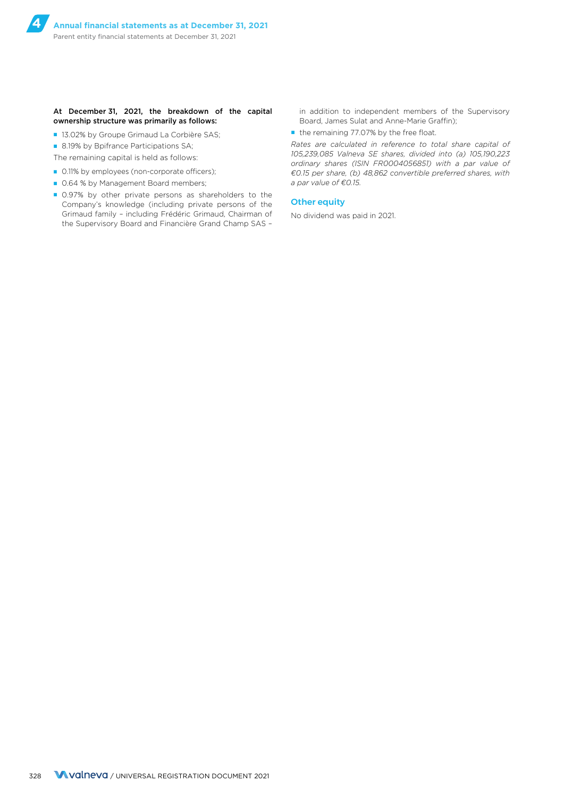#### At December 31, 2021, the breakdown of the capital ownership structure was primarily as follows:

■ 13.02% by Groupe Grimaud La Corbière SAS;

■ 8.19% by Bpifrance Participations SA;

- The remaining capital is held as follows:
- 0.11% by employees (non-corporate officers);
- 0.64 % by Management Board members;
- 0.97% by other private persons as shareholders to the Company's knowledge (including private persons of the Grimaud family – including Frédéric Grimaud, Chairman of the Supervisory Board and Financière Grand Champ SAS –

in addition to independent members of the Supervisory Board, James Sulat and Anne-Marie Graffin);

■ the remaining 77.07% by the free float.

*Rates are calculated in reference to total share capital of 105,239,085 Valneva SE shares, divided into (a) 105,190,223 ordinary shares (ISIN FR0004056851) with a par value of €0.15 per share, (b) 48,862 convertible preferred shares, with a par value of €0.15.*

### Other equity

No dividend was paid in 2021.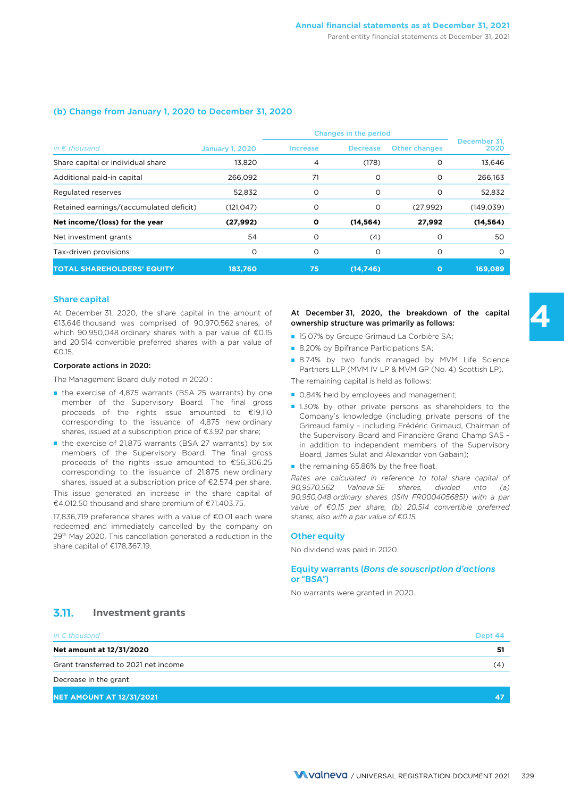### (b) Change from January 1, 2020 to December 31, 2020

| In $\epsilon$ thousand                  | <b>January 1, 2020</b> | <b>Increase</b> | <b>Decrease</b> | <b>Other changes</b> | December 31.<br>2020 |
|-----------------------------------------|------------------------|-----------------|-----------------|----------------------|----------------------|
| Share capital or individual share       | 13,820                 | 4               | (178)           | O                    | 13,646               |
| Additional paid-in capital              | 266.092                | 71              | O               | $\circ$              | 266,163              |
| Regulated reserves                      | 52,832                 | O               | O               | $\circ$              | 52,832               |
| Retained earnings/(accumulated deficit) | (121, 047)             | O               | O               | (27,992)             | (149, 039)           |
| Net income/(loss) for the year          | (27, 992)              | $\mathbf{o}$    | (14, 564)       | 27,992               | (14, 564)            |
| Net investment grants                   | 54                     | O               | (4)             | O                    | 50                   |
| Tax-driven provisions                   | O                      | O               | O               | $\circ$              | $\Omega$             |
| <b>TOTAL SHAREHOLDERS' EQUITY</b>       | 183.760                | 75              | (14.746)        | $\Omega$             | 169.089              |

#### Share capital

At December 31, 2020, the share capital in the amount of €13,646 thousand was comprised of 90,970,562 shares, of which 90,950,048 ordinary shares with a par value of €0.15 and 20,514 convertible preferred shares with a par value of €0.15.

#### Corporate actions in 2020:

The Management Board duly noted in 2020 :

- the exercise of 4,875 warrants (BSA 25 warrants) by one member of the Supervisory Board. The final gross proceeds of the rights issue amounted to €19,110 corresponding to the issuance of 4,875 new ordinary shares, issued at a subscription price of €3.92 per share;
- the exercise of 21,875 warrants (BSA 27 warrants) by six members of the Supervisory Board. The final gross proceeds of the rights issue amounted to €56,306.25 corresponding to the issuance of 21,875 new ordinary shares, issued at a subscription price of €2.574 per share.

This issue generated an increase in the share capital of €4,012.50 thousand and share premium of €71,403.75.

17,836,719 preference shares with a value of €0.01 each were redeemed and immediately cancelled by the company on 29<sup>th</sup> May 2020. This cancellation generated a reduction in the share capital of €178,367.19.

#### At December 31, 2020, the breakdown of the capital ownership structure was primarily as follows:

- 15.07% by Groupe Grimaud La Corbière SA;
- 8.20% by Bpifrance Participations SA;
- 8.74% by two funds managed by MVM Life Science Partners LLP (MVM IV LP & MVM GP (No. 4) Scottish LP).

The remaining capital is held as follows:

- 0.84% held by employees and management;
- 1.30% by other private persons as shareholders to the Company's knowledge (including private persons of the Grimaud family – including Frédéric Grimaud, Chairman of the Supervisory Board and Financière Grand Champ SAS – in addition to independent members of the Supervisory Board, James Sulat and Alexander von Gabain);
- the remaining 65.86% by the free float.

*Rates are calculated in reference to total share capital of 90,9570,562 Valneva SE shares, divided into (a) 90,950,048 ordinary shares (ISIN FR0004056851) with a par value of €0.15 per share, (b) 20,514 convertible preferred shares, also with a par value of €0.15.*

#### Other equity

No dividend was paid in 2020.

#### Equity warrants (*Bons de souscription d'actions* or "BSA")

No warrants were granted in 2020.

#### **3.11. Investment grants**

| In $\epsilon$ thousand               | Dept 44 |
|--------------------------------------|---------|
| Net amount at 12/31/2020             | 51      |
| Grant transferred to 2021 net income | (4)     |
| Decrease in the grant                |         |
| <b>NET AMOUNT AT 12/31/2021</b>      |         |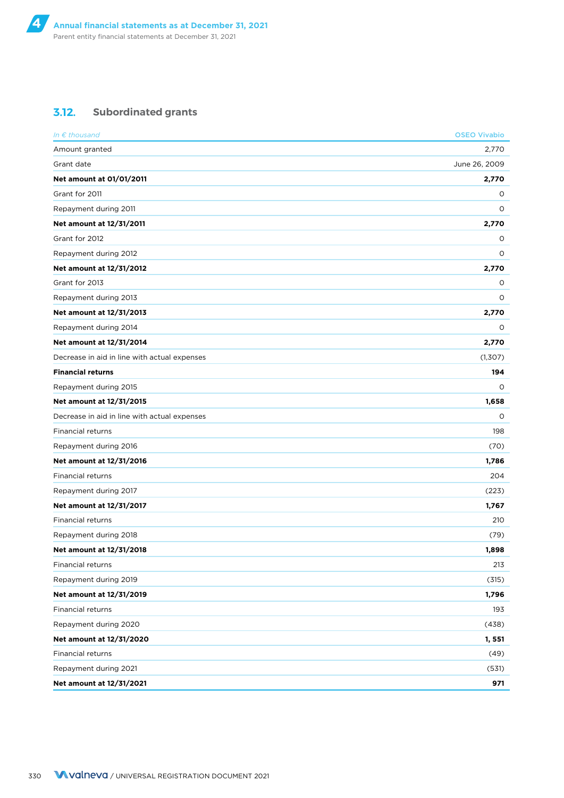### **3.12. Subordinated grants**

| In $\epsilon$ thousand                       | <b>OSEO Vivabio</b> |
|----------------------------------------------|---------------------|
| Amount granted                               | 2,770               |
| Grant date                                   | June 26, 2009       |
| Net amount at 01/01/2011                     | 2,770               |
| Grant for 2011                               | 0                   |
| Repayment during 2011                        | O                   |
| Net amount at 12/31/2011                     | 2,770               |
| Grant for 2012                               | 0                   |
| Repayment during 2012                        | 0                   |
| Net amount at 12/31/2012                     | 2,770               |
| Grant for 2013                               | 0                   |
| Repayment during 2013                        | 0                   |
| Net amount at 12/31/2013                     | 2,770               |
| Repayment during 2014                        | 0                   |
| Net amount at 12/31/2014                     | 2,770               |
| Decrease in aid in line with actual expenses | (1,307)             |
| <b>Financial returns</b>                     | 194                 |
| Repayment during 2015                        | 0                   |
| Net amount at 12/31/2015                     | 1,658               |
| Decrease in aid in line with actual expenses | 0                   |
| Financial returns                            | 198                 |
| Repayment during 2016                        | (70)                |
| Net amount at 12/31/2016                     | 1,786               |
| Financial returns                            | 204                 |
| Repayment during 2017                        | (223)               |
| Net amount at 12/31/2017                     | 1,767               |
| Financial returns                            | 210                 |
| Repayment during 2018                        | (79)                |
| Net amount at 12/31/2018                     | 1,898               |
| Financial returns                            | 213                 |
| Repayment during 2019                        | (315)               |
| Net amount at 12/31/2019                     | 1,796               |
| <b>Financial returns</b>                     | 193                 |
| Repayment during 2020                        | (438)               |
| Net amount at 12/31/2020                     | 1, 551              |
| Financial returns                            | (49)                |
| Repayment during 2021                        | (531)               |
| Net amount at 12/31/2021                     | 971                 |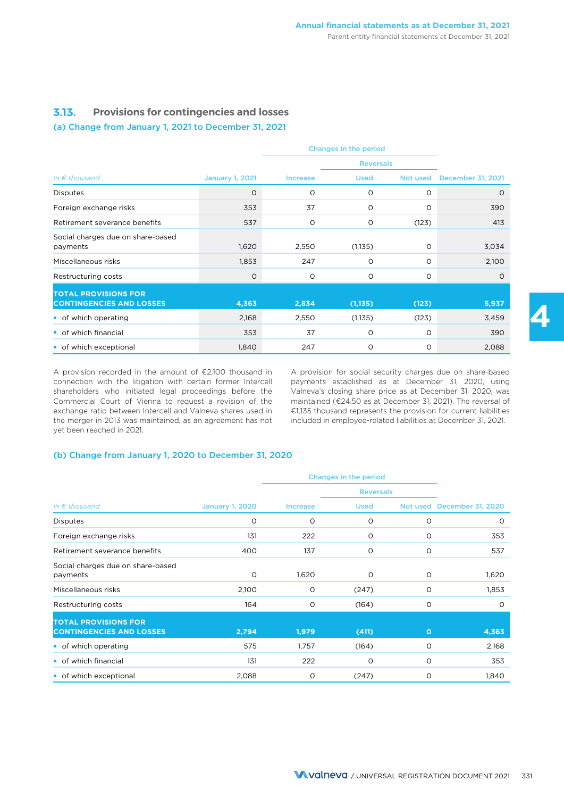### **3.13. Provisions for contingencies and losses**

### (a) Change from January 1, 2021 to December 31, 2021

|                                                                |                        |                 | Changes in the period |          |                          |  |
|----------------------------------------------------------------|------------------------|-----------------|-----------------------|----------|--------------------------|--|
|                                                                |                        |                 | <b>Reversals</b>      |          |                          |  |
| In $\epsilon$ thousand                                         | <b>January 1, 2021</b> | <b>Increase</b> | <b>Used</b>           | Not used | <b>December 31, 2021</b> |  |
| <b>Disputes</b>                                                | $\circ$                | O               | O                     | O        | $\circ$                  |  |
| Foreign exchange risks                                         | 353                    | 37              | O                     | O        | 390                      |  |
| Retirement severance benefits                                  | 537                    | O               | $\circ$               | (123)    | 413                      |  |
| Social charges due on share-based<br>payments                  | 1,620                  | 2,550           | (1, 135)              | $\circ$  | 3,034                    |  |
| Miscellaneous risks                                            | 1,853                  | 247             | O                     | $\circ$  | 2,100                    |  |
| Restructuring costs                                            | O                      | O               | O                     | $\circ$  | $\Omega$                 |  |
| <b>TOTAL PROVISIONS FOR</b><br><b>CONTINGENCIES AND LOSSES</b> | 4,363                  | 2,834           | (1, 135)              | (123)    | 5,937                    |  |
| • of which operating                                           | 2,168                  | 2,550           | (1, 135)              | (123)    | 3,459                    |  |
| • of which financial                                           | 353                    | 37              | O                     | O        | 390                      |  |
| of which exceptional                                           | 1,840                  | 247             | O                     | O        | 2,088                    |  |

A provision recorded in the amount of €2,100 thousand in connection with the litigation with certain former Intercell shareholders who initiated legal proceedings before the Commercial Court of Vienna to request a revision of the exchange ratio between Intercell and Valneva shares used in the merger in 2013 was maintained, as an agreement has not yet been reached in 2021.

A provision for social security charges due on share-based payments established as at December 31, 2020, using Valneva's closing share price as at December 31, 2020, was maintained (€24.50 as at December 31, 2021). The reversal of €1,135 thousand represents the provision for current liabilities included in employee-related liabilities at December 31, 2021.

#### (b) Change from January 1, 2020 to December 31, 2020

|                                                                |                        |                 | <b>Reversals</b> |         |                            |
|----------------------------------------------------------------|------------------------|-----------------|------------------|---------|----------------------------|
| In $\epsilon$ thousand                                         | <b>January 1, 2020</b> | <b>Increase</b> | <b>Used</b>      |         | Not used December 31, 2020 |
| <b>Disputes</b>                                                | $\circ$                | $\circ$         | $\circ$          | O       | 0                          |
| Foreign exchange risks                                         | 131                    | 222             | O                | O       | 353                        |
| Retirement severance benefits                                  | 400                    | 137             | $\circ$          | O       | 537                        |
| Social charges due on share-based<br>payments                  | $\Omega$               | 1,620           | 0                | $\circ$ | 1,620                      |
| Miscellaneous risks                                            | 2,100                  | $\circ$         | (247)            | O       | 1,853                      |
| Restructuring costs                                            | 164                    | 0               | (164)            | O       | $\Omega$                   |
| <b>TOTAL PROVISIONS FOR</b><br><b>CONTINGENCIES AND LOSSES</b> | 2,794                  | 1,979           | (411)            | $\circ$ | 4,363                      |
| • of which operating                                           | 575                    | 1,757           | (164)            | $\circ$ | 2,168                      |
| • of which financial                                           | 131                    | 222             | O                | O       | 353                        |
| of which exceptional                                           | 2,088                  | O               | (247)            | O       | 1,840                      |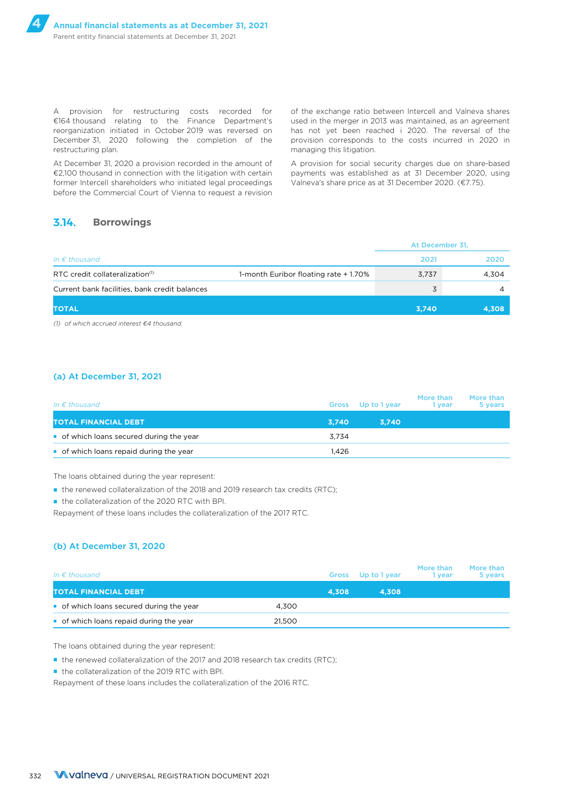A provision for restructuring costs recorded for €164 thousand relating to the Finance Department's reorganization initiated in October 2019 was reversed on December 31, 2020 following the completion of the restructuring plan.

At December 31, 2020 a provision recorded in the amount of €2,100 thousand in connection with the litigation with certain former Intercell shareholders who initiated legal proceedings before the Commercial Court of Vienna to request a revision

of the exchange ratio between Intercell and Valneva shares used in the merger in 2013 was maintained, as an agreement has not yet been reached i 2020. The reversal of the provision corresponds to the costs incurred in 2020 in managing this litigation.

A provision for social security charges due on share-based payments was established as at 31 December 2020, using Valneva's share price as at 31 December 2020. (€7.75).

### **3.14. Borrowings**

|                                               |                                      | At December 31, |       |
|-----------------------------------------------|--------------------------------------|-----------------|-------|
| In $\epsilon$ thousand                        |                                      | 2021            | 2020  |
| RTC credit collateralization <sup>(1)</sup>   | 1-month Euribor floating rate +1.70% | 3,737           | 4,304 |
| Current bank facilities, bank credit balances |                                      | 3               |       |
| <b>TOTAL</b>                                  |                                      | 3.740           | 4,308 |

*(1) of which accrued interest €4 thousand.*

#### (a) At December 31, 2021

| In $\epsilon$ thousand                 | Gross | Up to 1 year | More than<br>1 vear | More than<br>5 years |
|----------------------------------------|-------|--------------|---------------------|----------------------|
| TOTAL FINANCIAL DEBT.                  | 3.740 | 3.740        |                     |                      |
| of which loans secured during the year | 3.734 |              |                     |                      |
| of which loans repaid during the year  | 1.426 |              |                     |                      |

The loans obtained during the year represent:

■ the renewed collateralization of the 2018 and 2019 research tax credits (RTC);

■ the collateralization of the 2020 RTC with BPI.

Repayment of these loans includes the collateralization of the 2017 RTC.

#### (b) At December 31, 2020

| In $\epsilon$ thousand                   |        | <b>Gross</b> | Up to 1 year | More than<br>l vear | More than<br>5 years |
|------------------------------------------|--------|--------------|--------------|---------------------|----------------------|
| <b>TOTAL FINANCIAL DEBT</b>              |        | 4.308        | 4.308        |                     |                      |
| • of which loans secured during the year | 4.300  |              |              |                     |                      |
| • of which loans repaid during the year  | 21.500 |              |              |                     |                      |

The loans obtained during the year represent:

■ the renewed collateralization of the 2017 and 2018 research tax credits (RTC):

■ the collateralization of the 2019 RTC with BPI.

Repayment of these loans includes the collateralization of the 2016 RTC.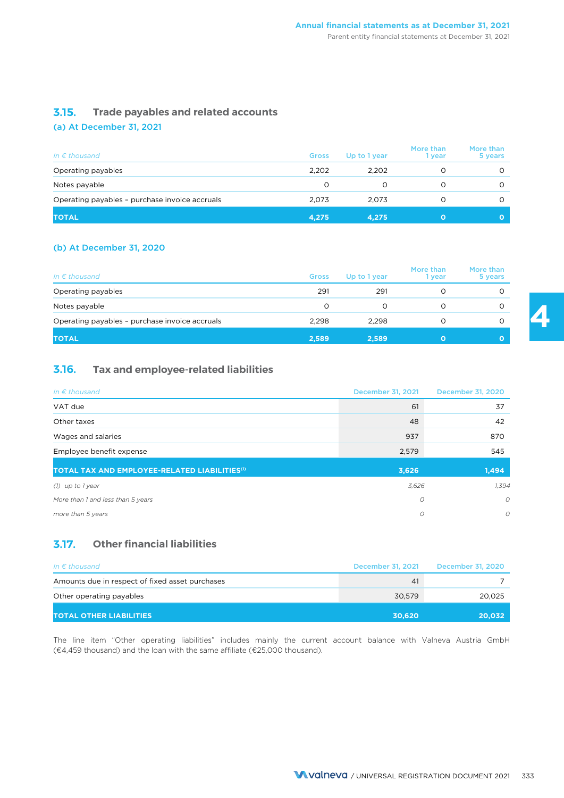### **3.15. Trade payables and related accounts**

### (a) At December 31, 2021

| In $\epsilon$ thousand                         | <b>Gross</b> | Up to 1 year | More than<br>1 vear | More than<br>5 years |
|------------------------------------------------|--------------|--------------|---------------------|----------------------|
| Operating payables                             | 2.202        | 2.202        |                     |                      |
| Notes payable                                  | $\Omega$     |              |                     |                      |
| Operating payables - purchase invoice accruals | 2.073        | 2.073        |                     |                      |
| <b>TOTAL</b>                                   | 4,275        | 4.275        |                     |                      |

### (b) At December 31, 2020

| In $\epsilon$ thousand                         | <b>Gross</b> | Up to 1 year | More than<br>1 vear | More than<br>5 years |
|------------------------------------------------|--------------|--------------|---------------------|----------------------|
| Operating payables                             | 291          | 291          |                     |                      |
| Notes payable                                  | O            | O            |                     |                      |
| Operating payables - purchase invoice accruals | 2.298        | 2.298        |                     |                      |
| <b>TOTAL</b>                                   | 2,589        | 2,589        | O                   |                      |

### **3.16. Tax and employee-related liabilities**

| In $\epsilon$ thousand                                    | December 31, 2021 | <b>December 31, 2020</b> |
|-----------------------------------------------------------|-------------------|--------------------------|
| VAT due                                                   | 61                | 37                       |
| Other taxes                                               | 48                | 42                       |
| Wages and salaries                                        | 937               | 870                      |
| Employee benefit expense                                  | 2,579             | 545                      |
| TOTAL TAX AND EMPLOYEE-RELATED LIABILITIES <sup>(1)</sup> | 3,626             | 1,494                    |
| (1) up to 1 year                                          | 3,626             | 1,394                    |
| More than 1 and less than 5 years                         | O                 | $\mathcal{O}$            |
| more than 5 years                                         | O                 | 0                        |

### **3.17. Other financial liabilities**

| In $\epsilon$ thousand                          | December 31, 2021 | December 31, 2020 |
|-------------------------------------------------|-------------------|-------------------|
| Amounts due in respect of fixed asset purchases | 41                |                   |
| Other operating payables                        | 30.579            | 20,025            |
| <b>TOTAL OTHER LIABILITIES</b>                  | 30.620            | 20,032            |

The line item "Other operating liabilities" includes mainly the current account balance with Valneva Austria GmbH (€4,459 thousand) and the loan with the same affiliate (€25,000 thousand).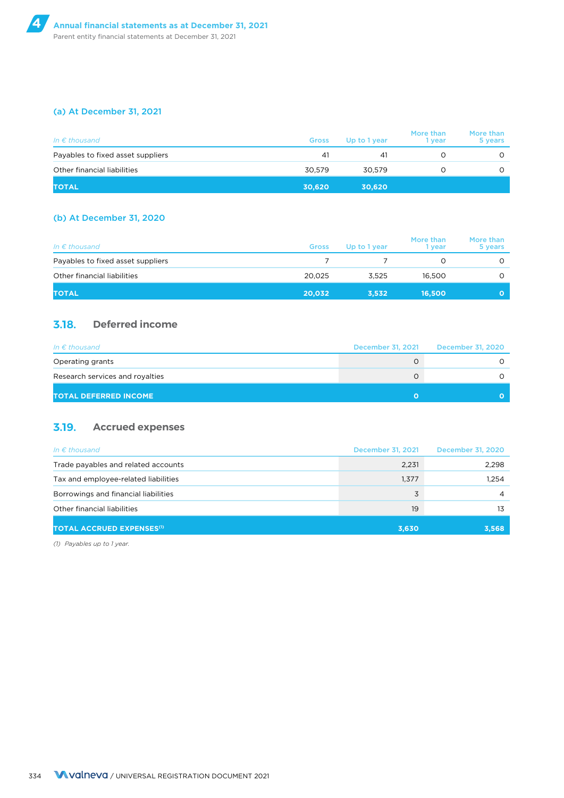### (a) At December 31, 2021

| In $\epsilon$ thousand            | <b>Gross</b> | Up to 1 year | More than<br>1 vear | More than<br>5 years |
|-----------------------------------|--------------|--------------|---------------------|----------------------|
| Payables to fixed asset suppliers | 41           | 41           |                     | Ο                    |
| Other financial liabilities       | 30.579       | 30.579       |                     | Ο                    |
| <b>TOTAL</b>                      | 30,620       | 30,620       |                     |                      |

### (b) At December 31, 2020

| In $\epsilon$ thousand            | <b>Gross</b> | Up to 1 year | More than<br>1 vear | More than<br>5 years |
|-----------------------------------|--------------|--------------|---------------------|----------------------|
| Payables to fixed asset suppliers |              |              |                     | Ο                    |
| Other financial liabilities       | 20.025       | 3.525        | 16.500              |                      |
| <b>TOTAL</b>                      | 20.032       | 3.532        | 16.500              | O                    |

### **3.18. Deferred income**

| In $\epsilon$ thousand          | December 31, 2021 | December 31, 2020 |
|---------------------------------|-------------------|-------------------|
| Operating grants                |                   |                   |
| Research services and royalties |                   |                   |
| <b>TOTAL DEFERRED INCOME</b>    |                   |                   |

### **3.19. Accrued expenses**

| In $\epsilon$ thousand                      | December 31, 2021 | December 31, 2020 |
|---------------------------------------------|-------------------|-------------------|
| Trade payables and related accounts         | 2,231             | 2,298             |
| Tax and employee-related liabilities        | 1,377             | 1.254             |
| Borrowings and financial liabilities        | 3                 | 4                 |
| Other financial liabilities                 | 19                | 13                |
| <b>TOTAL ACCRUED EXPENSES<sup>(1)</sup></b> | 3,630             | 3,568             |

*(1) Payables up to 1 year.*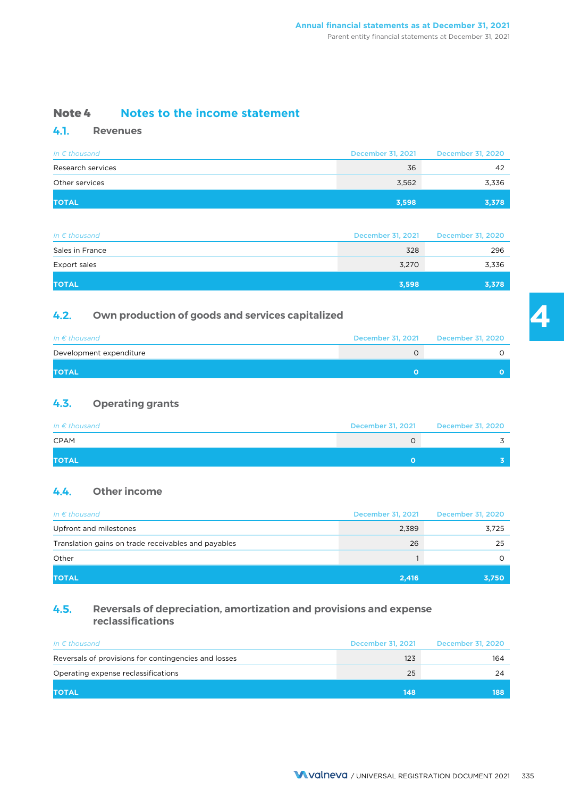### **Note 4 Notes to the income statement**

### **4.1. Revenues**

| In $\epsilon$ thousand | December 31, 2021 | December 31, 2020 |
|------------------------|-------------------|-------------------|
| Research services      | 36                | 42                |
| Other services         | 3,562             | 3,336             |
| <b>TOTAL</b>           | 3,598             | 3,378             |

| In $\epsilon$ thousand | December 31, 2021 | December 31, 2020 |
|------------------------|-------------------|-------------------|
| Sales in France        | 328               | 296               |
| Export sales           | 3,270             | 3,336             |
| <b>TOTAL</b>           | 3,598             | 3,378             |

### **4.2. Own production of goods and services capitalized**

| In $\epsilon$ thousand  | December 31, 2021 | December 31, 2020 |
|-------------------------|-------------------|-------------------|
| Development expenditure |                   |                   |
| <b>TOTAL</b>            |                   |                   |

### **4.3. Operating grants**

| In $\epsilon$ thousand | December 31, 2021 | December 31, 2020 |
|------------------------|-------------------|-------------------|
| <b>CPAM</b>            |                   |                   |
| <b>TOTAL</b>           |                   |                   |

### **4.4. Other income**

| In $\epsilon$ thousand                              | December 31, 2021 | December 31, 2020 |
|-----------------------------------------------------|-------------------|-------------------|
| Upfront and milestones                              | 2,389             | 3,725             |
| Translation gains on trade receivables and payables | 26                | 25                |
| Other                                               |                   |                   |
| <b>TOTAL</b>                                        | 2,416             | 3,750             |

### **4.5. Reversals of depreciation, amortization and provisions and expense reclassifications**

| In $\epsilon$ thousand                               | December 31, 2021 | December 31, 2020 |
|------------------------------------------------------|-------------------|-------------------|
| Reversals of provisions for contingencies and losses | 123               | 164               |
| Operating expense reclassifications                  | 25                | 24                |
| <b>TOTAL</b>                                         | 148               | 188               |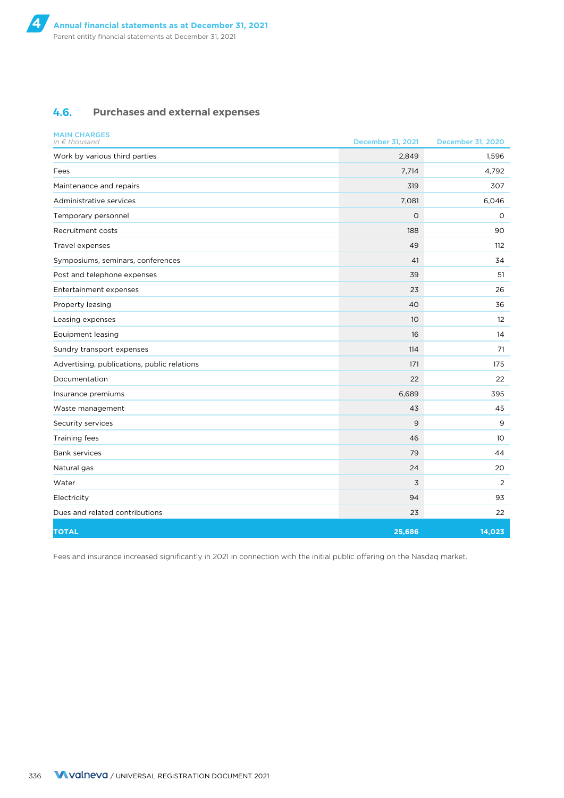### **4.6. Purchases and external expenses**

| <b>MAIN CHARGES</b><br>in $\epsilon$ thousand | December 31, 2021 | December 31, 2020 |
|-----------------------------------------------|-------------------|-------------------|
| Work by various third parties                 | 2,849             | 1,596             |
| Fees                                          | 7,714             | 4,792             |
| Maintenance and repairs                       | 319               | 307               |
| Administrative services                       | 7,081             | 6,046             |
| Temporary personnel                           | $\circ$           | $\Omega$          |
| Recruitment costs                             | 188               | 90                |
| Travel expenses                               | 49                | 112               |
| Symposiums, seminars, conferences             | 41                | 34                |
| Post and telephone expenses                   | 39                | 51                |
| Entertainment expenses                        | 23                | 26                |
| Property leasing                              | 40                | 36                |
| Leasing expenses                              | 10 <sup>°</sup>   | 12                |
| <b>Equipment leasing</b>                      | 16                | 14                |
| Sundry transport expenses                     | 114               | 71                |
| Advertising, publications, public relations   | 171               | 175               |
| Documentation                                 | 22                | 22                |
| Insurance premiums                            | 6,689             | 395               |
| Waste management                              | 43                | 45                |
| Security services                             | 9                 | 9                 |
| Training fees                                 | 46                | 10                |
| <b>Bank services</b>                          | 79                | 44                |
| Natural gas                                   | 24                | 20                |
| Water                                         | 3                 | 2                 |
| Electricity                                   | 94                | 93                |
| Dues and related contributions                | 23                | 22                |
| <b>TOTAL</b>                                  | 25,686            | 14,023            |

Fees and insurance increased significantly in 2021 in connection with the initial public offering on the Nasdaq market.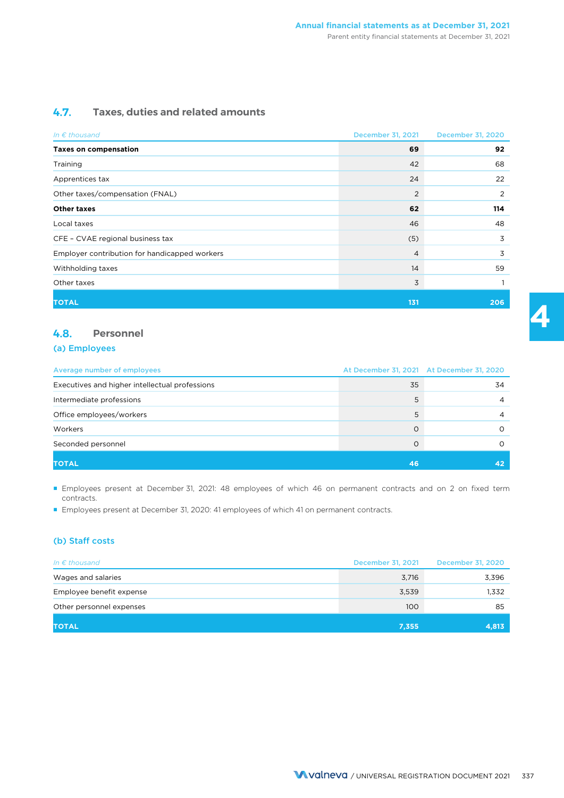### **4.7. Taxes, duties and related amounts**

| In $\epsilon$ thousand                        | December 31, 2021 | December 31, 2020 |
|-----------------------------------------------|-------------------|-------------------|
| <b>Taxes on compensation</b>                  | 69                | 92                |
| Training                                      | 42                | 68                |
| Apprentices tax                               | 24                | 22                |
| Other taxes/compensation (FNAL)               | 2                 | 2                 |
| <b>Other taxes</b>                            | 62                | 114               |
| Local taxes                                   | 46                | 48                |
| CFE - CVAE regional business tax              | (5)               | 3                 |
| Employer contribution for handicapped workers | $\overline{4}$    | 3                 |
| Withholding taxes                             | 14                | 59                |
| Other taxes                                   | 3                 |                   |
| <b>TOTAL</b>                                  | 131               | 206               |

### **4.8. Personnel**

#### (a) Employees

| Average number of employees                    |    | At December 31, 2021 At December 31, 2020 |
|------------------------------------------------|----|-------------------------------------------|
| Executives and higher intellectual professions | 35 | 34                                        |
| Intermediate professions                       |    |                                           |
| Office employees/workers                       |    |                                           |
| Workers                                        |    |                                           |
| Seconded personnel                             |    |                                           |
| <b>TOTAL</b>                                   | 46 |                                           |

■ Employees present at December 31, 2021: 48 employees of which 46 on permanent contracts and on 2 on fixed term contracts.

■ Employees present at December 31, 2020: 41 employees of which 41 on permanent contracts.

### (b) Staff costs

| In $\epsilon$ thousand   | December 31, 2021 | December 31, 2020 |
|--------------------------|-------------------|-------------------|
| Wages and salaries       | 3,716             | 3,396             |
| Employee benefit expense | 3,539             | 1,332             |
| Other personnel expenses | 100               | 85                |
| <b>TOTAL</b>             | 7,355             | 4,813             |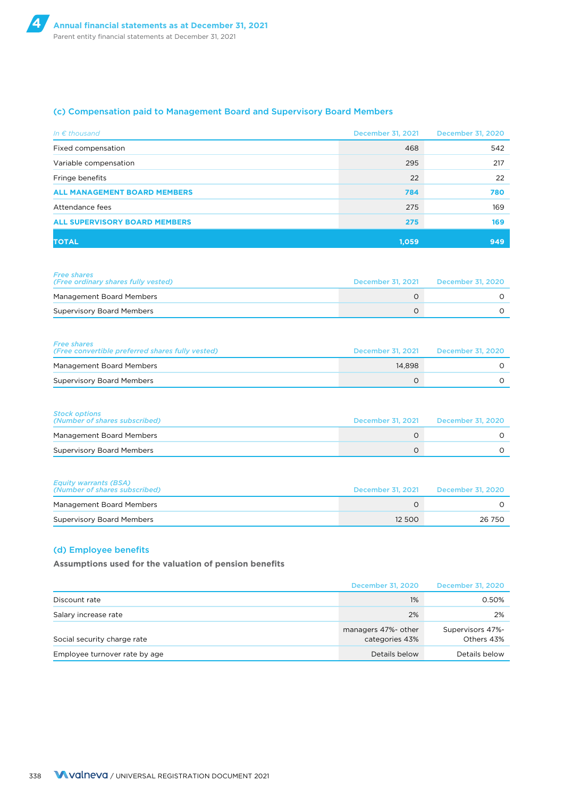### (c) Compensation paid to Management Board and Supervisory Board Members

| In $\epsilon$ thousand               | December 31, 2021 | December 31, 2020 |
|--------------------------------------|-------------------|-------------------|
| Fixed compensation                   | 468               | 542               |
| Variable compensation                | 295               | 217               |
| Fringe benefits                      | 22                | 22                |
| <b>ALL MANAGEMENT BOARD MEMBERS</b>  | 784               | 780               |
| Attendance fees                      | 275               | 169               |
| <b>ALL SUPERVISORY BOARD MEMBERS</b> | 275               | 169               |
| <b>TOTAL</b>                         | 1.059             | 949               |

| <b>Free shares</b><br>(Free ordinary shares fully vested) | December 31, 2021 | December 31, 2020 |
|-----------------------------------------------------------|-------------------|-------------------|
| Management Board Members                                  |                   |                   |
| <b>Supervisory Board Members</b>                          |                   |                   |

| <b>Free shares</b><br>(Free convertible preferred shares fully vested) | December 31, 2021 | December 31, 2020 |
|------------------------------------------------------------------------|-------------------|-------------------|
| Management Board Members                                               | 14.898            |                   |
| <b>Supervisory Board Members</b>                                       |                   |                   |

| <b>Stock options</b><br>(Number of shares subscribed) | December 31, 2021 December 31, 2020 |
|-------------------------------------------------------|-------------------------------------|
| Management Board Members                              |                                     |
| <b>Supervisory Board Members</b>                      |                                     |

| <b>Equity warrants (BSA)</b><br>(Number of shares subscribed) | December 31, 2021 | December 31, 2020 |
|---------------------------------------------------------------|-------------------|-------------------|
| Management Board Members                                      |                   |                   |
| <b>Supervisory Board Members</b>                              | 12 500            | 26 750            |

#### (d) Employee benefits

**Assumptions used for the valuation of pension benefits**

|                               | December 31, 2020                     | <b>December 31, 2020</b>       |
|-------------------------------|---------------------------------------|--------------------------------|
| Discount rate                 | 1%                                    | 0.50%                          |
| Salary increase rate          | 2%                                    | 2%                             |
| Social security charge rate   | managers 47%- other<br>categories 43% | Supervisors 47%-<br>Others 43% |
| Employee turnover rate by age | Details below                         | Details below                  |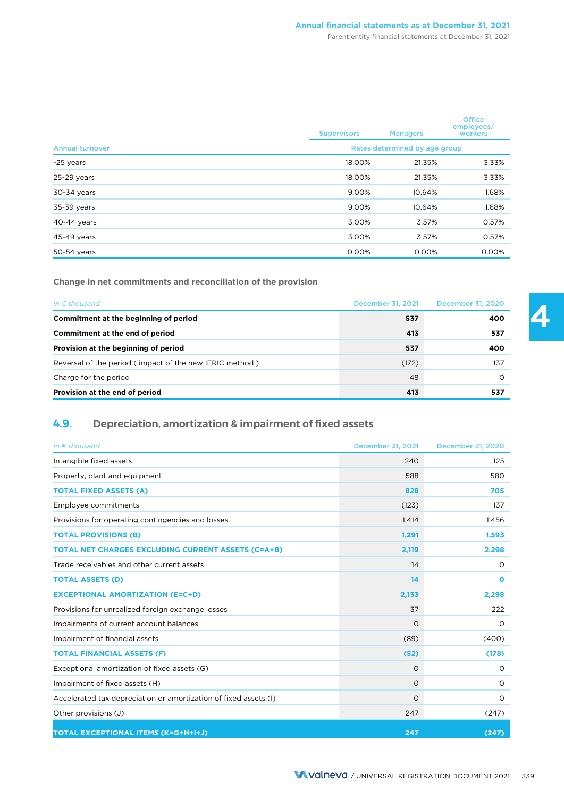#### Parent entity financial statements at December 31, 2021

|                        | <b>Supervisors</b> | <b>Managers</b>               | <b>Office</b><br>employees/<br>workers |
|------------------------|--------------------|-------------------------------|----------------------------------------|
| <b>Annual turnover</b> |                    | Rates determined by age group |                                        |
| -25 years              | 18.00%             | 21.35%                        | 3.33%                                  |
| 25-29 years            | 18.00%             | 21.35%                        | 3.33%                                  |
| 30-34 years            | 9.00%              | 10.64%                        | 1.68%                                  |
| 35-39 years            | 9.00%              | 10.64%                        | 1.68%                                  |
| 40-44 years            | 3.00%              | 3.57%                         | 0.57%                                  |
| 45-49 years            | 3.00%              | 3.57%                         | 0.57%                                  |
| 50-54 years            | 0.00%              | 0.00%                         | 0.00%                                  |

**Change in net commitments and reconciliation of the provision**

| In $\epsilon$ thousand                                  | December 31, 2021 | December 31, 2020 |
|---------------------------------------------------------|-------------------|-------------------|
| Commitment at the beginning of period                   | 537               | 400               |
| Commitment at the end of period                         | 413               | 537               |
| Provision at the beginning of period                    | 537               | 400               |
| Reversal of the period (impact of the new IFRIC method) | (172)             | 137               |
| Charge for the period                                   | 48                |                   |
| Provision at the end of period                          | 413               | 537               |

### **4.9. Depreciation, amortization & impairment of fixed assets**

| In $\epsilon$ thousand                                           | December 31, 2021 | <b>December 31, 2020</b> |
|------------------------------------------------------------------|-------------------|--------------------------|
| Intangible fixed assets                                          | 240               | 125                      |
| Property, plant and equipment                                    | 588               | 580                      |
| <b>TOTAL FIXED ASSETS (A)</b>                                    | 828               | 705                      |
| Employee commitments                                             | (123)             | 137                      |
| Provisions for operating contingencies and losses                | 1.414             | 1,456                    |
| <b>TOTAL PROVISIONS (B)</b>                                      | 1,291             | 1,593                    |
| <b>TOTAL NET CHARGES EXCLUDING CURRENT ASSETS (C=A+B)</b>        | 2,119             | 2,298                    |
| Trade receivables and other current assets                       | 14                | $\circ$                  |
| <b>TOTAL ASSETS (D)</b>                                          | 14                | $\mathbf{o}$             |
| <b>EXCEPTIONAL AMORTIZATION (E=C+D)</b>                          | 2,133             | 2,298                    |
| Provisions for unrealized foreign exchange losses                | 37                | 222                      |
| Impairments of current account balances                          | O                 | O                        |
| Impairment of financial assets                                   | (89)              | (400)                    |
| <b>TOTAL FINANCIAL ASSETS (F)</b>                                | (52)              | (178)                    |
| Exceptional amortization of fixed assets (G)                     | $\circ$           | $\circ$                  |
| Impairment of fixed assets (H)                                   | $\circ$           | 0                        |
| Accelerated tax depreciation or amortization of fixed assets (I) | O                 | $\circ$                  |
| Other provisions (J)                                             | 247               | (247)                    |
| TOTAL EXCEPTIONAL ITEMS (K=G+H+I+J)                              | 247               | (247)                    |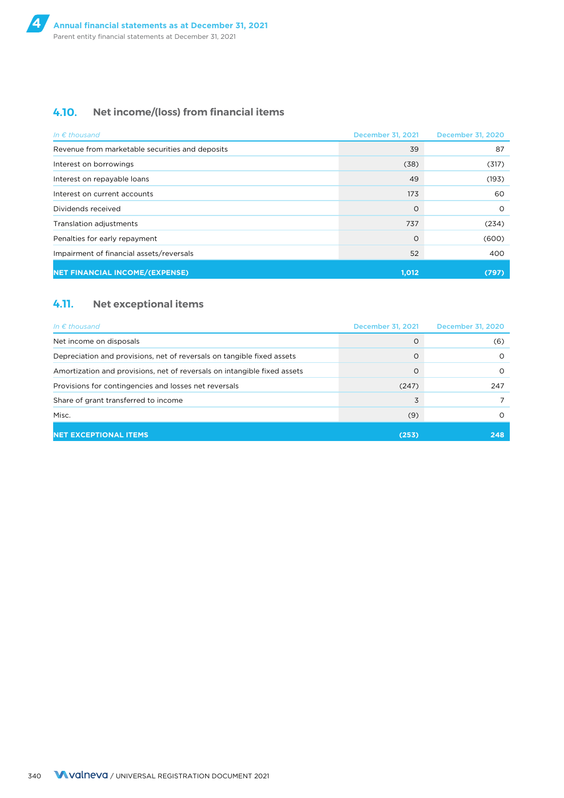### **4.10. Net income/(loss) from financial items**

| In $\epsilon$ thousand                          | December 31, 2021 | December 31, 2020 |
|-------------------------------------------------|-------------------|-------------------|
| Revenue from marketable securities and deposits | 39                | 87                |
| Interest on borrowings                          | (38)              | (317)             |
| Interest on repayable loans                     | 49                | (193)             |
| Interest on current accounts                    | 173               | 60                |
| Dividends received                              | $\Omega$          | $\Omega$          |
| Translation adjustments                         | 737               | (234)             |
| Penalties for early repayment                   | $\Omega$          | (600)             |
| Impairment of financial assets/reversals        | 52                | 400               |
| <b>NET FINANCIAL INCOME/(EXPENSE)</b>           | 1,012             | (797)             |

### **4.11. Net exceptional items**

| In $\epsilon$ thousand                                                   | December 31, 2021 | December 31, 2020 |
|--------------------------------------------------------------------------|-------------------|-------------------|
| Net income on disposals                                                  |                   | (6)               |
| Depreciation and provisions, net of reversals on tangible fixed assets   |                   | ∩                 |
| Amortization and provisions, net of reversals on intangible fixed assets |                   | ∩                 |
| Provisions for contingencies and losses net reversals                    | (247)             | 247               |
| Share of grant transferred to income                                     | 3                 |                   |
| Misc.                                                                    | (9)               |                   |
| <b>NET EXCEPTIONAL ITEMS</b>                                             | (253)             | 248               |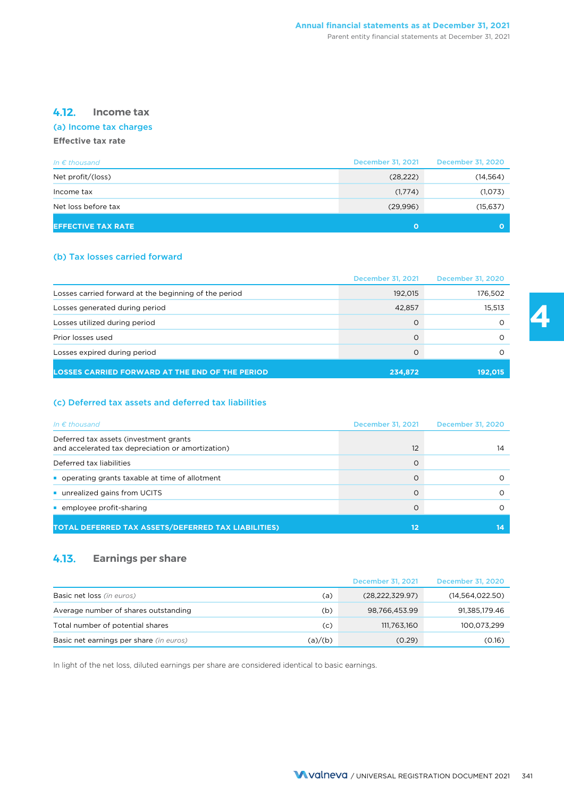### **4.12. Income tax**

### (a) Income tax charges

### **Effective tax rate**

| In $\epsilon$ thousand    | <b>December 31, 2021</b> | December 31, 2020 |
|---------------------------|--------------------------|-------------------|
| Net profit/(loss)         | (28, 222)                | (14, 564)         |
| Income tax                | (1,774)                  | (1,073)           |
| Net loss before tax       | (29,996)                 | (15, 637)         |
| <b>EFFECTIVE TAX RATE</b> | O                        |                   |

### (b) Tax losses carried forward

|                                                        | December 31, 2021 | <b>December 31, 2020</b> |
|--------------------------------------------------------|-------------------|--------------------------|
| Losses carried forward at the beginning of the period  | 192,015           | 176,502                  |
| Losses generated during period                         | 42,857            | 15,513                   |
| Losses utilized during period                          | O                 |                          |
| Prior losses used                                      | O                 |                          |
| Losses expired during period                           | $\Omega$          |                          |
| <b>LOSSES CARRIED FORWARD AT THE END OF THE PERIOD</b> | 234,872           | 192,015                  |

### (c) Deferred tax assets and deferred tax liabilities

| In $\epsilon$ thousand                                                                      | December 31, 2021 | December 31, 2020 |
|---------------------------------------------------------------------------------------------|-------------------|-------------------|
| Deferred tax assets (investment grants<br>and accelerated tax depreciation or amortization) | 12                | 14                |
| Deferred tax liabilities                                                                    | ∩                 |                   |
| operating grants taxable at time of allotment                                               |                   |                   |
| unrealized gains from UCITS                                                                 |                   |                   |
| employee profit-sharing                                                                     |                   |                   |
| TOTAL DEFERRED TAX ASSETS/DEFERRED TAX LIABILITIES)                                         | 12                |                   |

### **4.13. Earnings per share**

|                                         |         | December 31, 2021 | December 31, 2020 |
|-----------------------------------------|---------|-------------------|-------------------|
| Basic net loss (in euros)               | (a)     | (28, 222, 329.97) | (14, 564, 022.50) |
| Average number of shares outstanding    | (b)     | 98,766,453.99     | 91,385,179.46     |
| Total number of potential shares        | (c)     | 111,763,160       | 100,073,299       |
| Basic net earnings per share (in euros) | (a)/(b) | (0.29)            | (0.16)            |

In light of the net loss, diluted earnings per share are considered identical to basic earnings.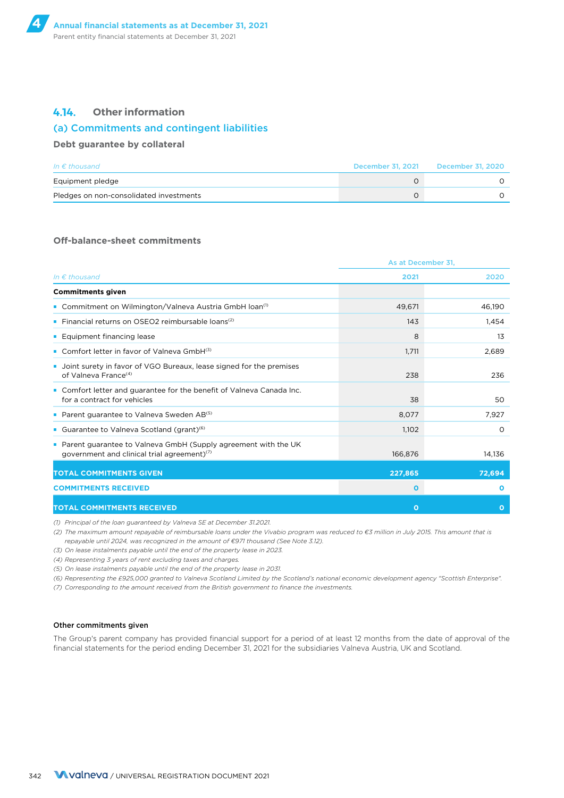### **4.14. Other information**

#### (a) Commitments and contingent liabilities

#### **Debt guarantee by collateral**

| In $\epsilon$ thousand                  | December 31, 2021 | December 31, 2020 |
|-----------------------------------------|-------------------|-------------------|
| Equipment pledge                        |                   |                   |
| Pledges on non-consolidated investments |                   |                   |

#### **Off-balance-sheet commitments**

|                                                                                                                             | As at December 31, |              |
|-----------------------------------------------------------------------------------------------------------------------------|--------------------|--------------|
| In $\epsilon$ thousand                                                                                                      | 2021               | 2020         |
| <b>Commitments given</b>                                                                                                    |                    |              |
| • Commitment on Wilmington/Valneva Austria GmbH Ioan <sup>(1)</sup>                                                         | 49,671             | 46,190       |
| • Financial returns on OSEO2 reimbursable loans <sup>(2)</sup>                                                              | 143                | 1,454        |
| ■ Equipment financing lease                                                                                                 | 8                  | 13           |
| • Comfort letter in favor of Valneva GmbH(3)                                                                                | 1,711              | 2,689        |
| • Joint surety in favor of VGO Bureaux, lease signed for the premises<br>of Valneva France <sup>(4)</sup>                   | 238                | 236          |
| Comfort letter and guarantee for the benefit of Valneva Canada Inc.<br>for a contract for vehicles                          | 38                 | 50           |
| Parent guarantee to Valneva Sweden AB <sup>(5)</sup>                                                                        | 8,077              | 7,927        |
| • Guarantee to Valneva Scotland (grant) <sup>(6)</sup>                                                                      | 1,102              | $\circ$      |
| • Parent guarantee to Valneva GmbH (Supply agreement with the UK<br>government and clinical trial agreement) <sup>(7)</sup> | 166,876            | 14,136       |
| <b>TOTAL COMMITMENTS GIVEN</b>                                                                                              | 227,865            | 72,694       |
| <b>COMMITMENTS RECEIVED</b>                                                                                                 | $\mathbf 0$        | $\Omega$     |
| <b>TOTAL COMMITMENTS RECEIVED</b>                                                                                           | $\Omega$           | $\mathbf{o}$ |

*(1) Principal of the loan guaranteed by Valneva SE at December 31.2021.*

*(2) The maximum amount repayable of reimbursable loans under the Vivabio program was reduced to €3 million in July 2015. This amount that is repayable until 2024, was recognized in the amount of €971 thousand (See Note 3.12).*

*(3) On lease instalments payable until the end of the property lease in 2023.*

*(4) Representing 3 years of rent excluding taxes and charges.*

*(5) On lease instalments payable until the end of the property lease in 2031.*

*(6) Representing the £925,000 granted to Valneva Scotland Limited by the Scotland's national economic development agency "Scottish Enterprise".*

*(7) Corresponding to the amount received from the British government to finance the investments.*

#### Other commitments given

The Group's parent company has provided financial support for a period of at least 12 months from the date of approval of the financial statements for the period ending December 31, 2021 for the subsidiaries Valneva Austria, UK and Scotland.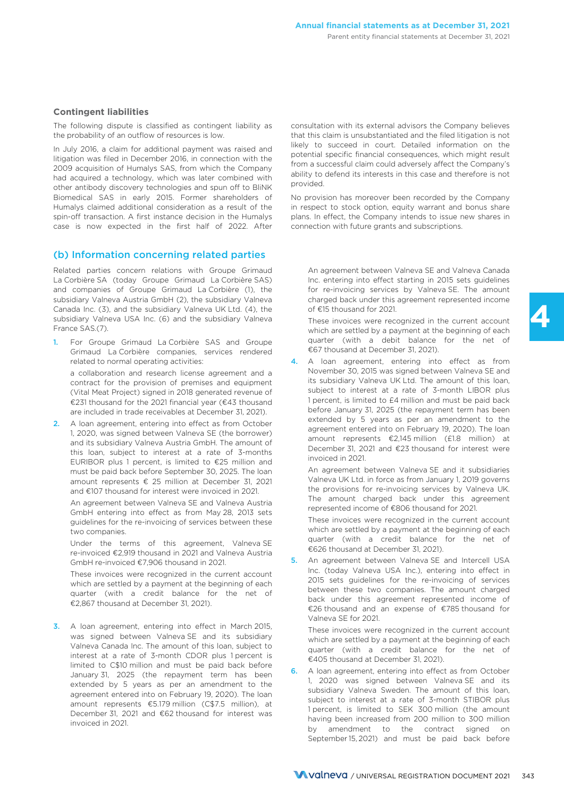### **Contingent liabilities**

The following dispute is classified as contingent liability as the probability of an outflow of resources is low.

In July 2016, a claim for additional payment was raised and<br>Itigation was filed in December 2016, in connection with the<br>2009 acquisition of Humalys SAS, from which the Company<br>had acquired a technology, which was later co Biomedical SAS in early 2015. Former shareholders of Humalys claimed additional consideration as a result of the spin-off transaction. A first instance decision in the Humalys case is now expected in the first half of 2022. After

### (b) Information concerning related parties

Related parties concern relations with Groupe Grimaud La Corbière SA (today Groupe Grimaud La Corbière SAS) and companies of Groupe Grimaud La Corbière (1), the subsidiary Valneva Austria GmbH (2), the subsidiary Valneva Canada Inc. (3), and the subsidiary Valneva UK Ltd. (4), the subsidiary Valneva USA Inc. (6) and the subsidiary Valneva France SAS.(7).

- 1. For Groupe Grimaud La Corbière SAS and Groupe Grimaud La Corbière companies, services rendered related to normal operating activities: a collaboration and research license agreement and a contract for the provision of premises and equipment (Vital Meat Project) signed in 2018 generated revenue of €231 thousand for the 2021 financial year (€43 thousand are included in trade receivables at December 31, 2021).
- 2. A loan agreement, entering into effect as from October 1, 2020, was signed between Valneva SE (the borrower) and its subsidiary Valneva Austria GmbH. The amount of this loan, subject to interest at a rate of 3-months EURIBOR plus 1 percent, is limited to €25 million and must be paid back before September 30, 2025. The loan amount represents € 25 million at December 31, 2021 and €107 thousand for interest were invoiced in 2021.

An agreement between Valneva SE and Valneva Austria GmbH entering into effect as from May 28, 2013 sets guidelines for the re-invoicing of services between these two companies.

Under the terms of this agreement, Valneva SE re-invoiced €2,919 thousand in 2021 and Valneva Austria GmbH re-invoiced €7,906 thousand in 2021.

These invoices were recognized in the current account which are settled by a payment at the beginning of each quarter (with a credit balance for the net of €2,867 thousand at December 31, 2021).

3. A loan agreement, entering into effect in March 2015, was signed between Valneva SE and its subsidiary Valneva Canada Inc. The amount of this loan, subject to interest at a rate of 3-month CDOR plus 1 percent is limited to C\$10 million and must be paid back before January 31, 2025 (the repayment term has been extended by 5 years as per an amendment to the agreement entered into on February 19, 2020). The loan amount represents €5.179 million (C\$7.5 million), at December 31, 2021 and €62 thousand for interest was invoiced in 2021.

consultation with its external advisors the Company believes that this claim is unsubstantiated and the filed litigation is not

No provision has moreover been recorded by the Company in respect to stock option, equity warrant and bonus share plans. In effect, the Company intends to issue new shares in connection with future grants and subscriptions.

An agreement between Valneva SE and Valneva Canada Inc. entering into effect starting in 2015 sets guidelines for re-invoicing services by Valneva SE. The amount charged back under this agreement represented income of €15 thousand for 2021.

These invoices were recognized in the current account which are settled by a payment at the beginning of each quarter (with a debit balance for the net of €67 thousand at December 31, 2021).

4. A loan agreement, entering into effect as from November 30, 2015 was signed between Valneva SE and its subsidiary Valneva UK Ltd. The amount of this loan, subject to interest at a rate of 3-month LIBOR plus 1 percent, is limited to £4 million and must be paid back before January 31, 2025 (the repayment term has been extended by 5 years as per an amendment to the agreement entered into on February 19, 2020). The loan amount represents €2,145 million (£1.8 million) at December 31, 2021 and €23 thousand for interest were invoiced in 2021.

An agreement between Valneva SE and it subsidiaries Valneva UK Ltd. in force as from January 1, 2019 governs the provisions for re-invoicing services by Valneva UK. The amount charged back under this agreement represented income of €806 thousand for 2021.

These invoices were recognized in the current account which are settled by a payment at the beginning of each quarter (with a credit balance for the net of €626 thousand at December 31, 2021).

5. An agreement between Valneva SE and Intercell USA Inc. (today Valneva USA Inc.), entering into effect in 2015 sets guidelines for the re-invoicing of services between these two companies. The amount charged back under this agreement represented income of €26 thousand and an expense of €785 thousand for Valneva SE for 2021.

These invoices were recognized in the current account which are settled by a payment at the beginning of each quarter (with a credit balance for the net of €405 thousand at December 31, 2021).

6. A loan agreement, entering into effect as from October 1, 2020 was signed between Valneva SE and its subsidiary Valneva Sweden. The amount of this loan, subject to interest at a rate of 3-month STIBOR plus 1 percent, is limited to SEK 300 million (the amount having been increased from 200 million to 300 million by amendment to the contract signed on September 15, 2021) and must be paid back before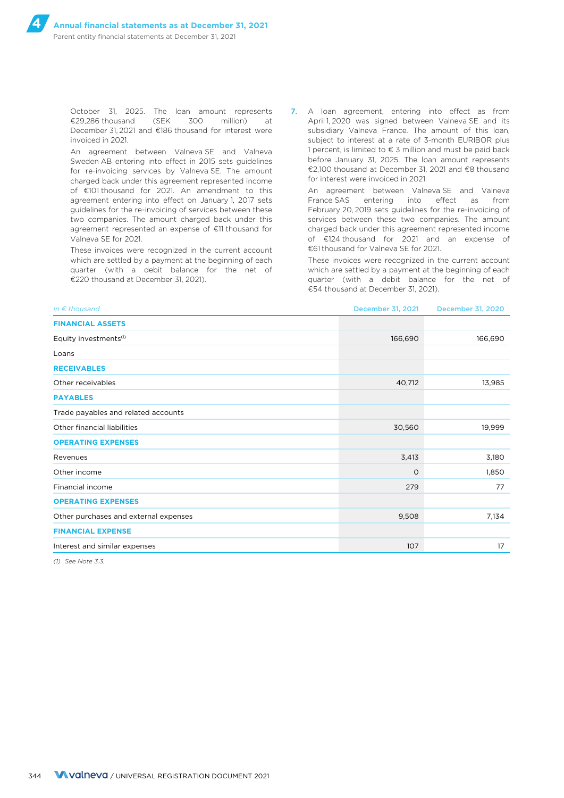October 31, 2025. The loan amount represents €29,286 thousand (SEK 300 million) at December 31, 2021 and €186 thousand for interest were invoiced in 2021.

An agreement between Valneva SE and Valneva Sweden AB entering into effect in 2015 sets guidelines for re-invoicing services by Valneva SE. The amount charged back under this agreement represented income of €101 thousand for 2021. An amendment to this agreement entering into effect on January 1, 2017 sets guidelines for the re-invoicing of services between these two companies. The amount charged back under this agreement represented an expense of €11 thousand for Valneva SE for 2021.

These invoices were recognized in the current account which are settled by a payment at the beginning of each quarter (with a debit balance for the net of €220 thousand at December 31, 2021).

7. A loan agreement, entering into effect as from April 1, 2020 was signed between Valneva SE and its subsidiary Valneva France. The amount of this loan, subject to interest at a rate of 3-month EURIBOR plus 1 percent, is limited to  $\epsilon$  3 million and must be paid back before January 31, 2025. The loan amount represents €2,100 thousand at December 31, 2021 and €8 thousand for interest were invoiced in 2021.

An agreement between Valneva SE and Valneva France SAS entering into effect as from February 20, 2019 sets guidelines for the re-invoicing of services between these two companies. The amount charged back under this agreement represented income of €124 thousand for 2021 and an expense of €61 thousand for Valneva SE for 2021.

These invoices were recognized in the current account which are settled by a payment at the beginning of each quarter (with a debit balance for the net of €54 thousand at December 31, 2021).

| In $\epsilon$ thousand                | December 31, 2021 | <b>December 31, 2020</b> |
|---------------------------------------|-------------------|--------------------------|
| <b>FINANCIAL ASSETS</b>               |                   |                          |
| Equity investments <sup>(1)</sup>     | 166,690           | 166,690                  |
| Loans                                 |                   |                          |
| <b>RECEIVABLES</b>                    |                   |                          |
| Other receivables                     | 40,712            | 13,985                   |
| <b>PAYABLES</b>                       |                   |                          |
| Trade payables and related accounts   |                   |                          |
| Other financial liabilities           | 30,560            | 19,999                   |
| <b>OPERATING EXPENSES</b>             |                   |                          |
| Revenues                              | 3,413             | 3,180                    |
| Other income                          | $\circ$           | 1,850                    |
| Financial income                      | 279               | 77                       |
| <b>OPERATING EXPENSES</b>             |                   |                          |
| Other purchases and external expenses | 9,508             | 7,134                    |
| <b>FINANCIAL EXPENSE</b>              |                   |                          |
| Interest and similar expenses         | 107               | 17                       |

*(1) See Note 3.3.*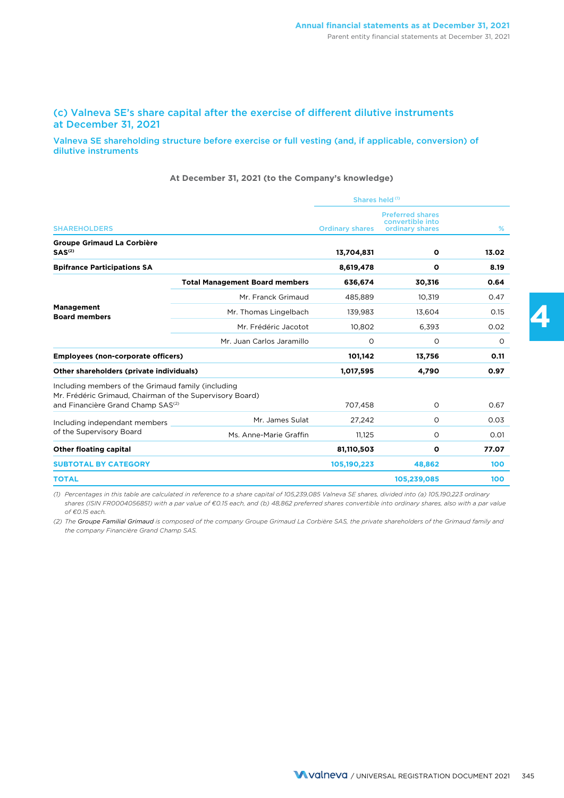### (c) Valneva SE's share capital after the exercise of different dilutive instruments at December 31, 2021

#### Valneva SE shareholding structure before exercise or full vesting (and, if applicable, conversion) of dilutive instruments

#### **At December 31, 2021 (to the Company's knowledge)**

|                                                                                                                                                                 |                                       | Shares held (1)        |                                                                |       |  |
|-----------------------------------------------------------------------------------------------------------------------------------------------------------------|---------------------------------------|------------------------|----------------------------------------------------------------|-------|--|
| <b>SHAREHOLDERS</b>                                                                                                                                             |                                       | <b>Ordinary shares</b> | <b>Preferred shares</b><br>convertible into<br>ordinary shares | %     |  |
| <b>Groupe Grimaud La Corbière</b><br>SAS <sup>(2)</sup>                                                                                                         |                                       | 13,704,831             | $\mathbf{o}$                                                   | 13.02 |  |
| <b>Bpifrance Participations SA</b>                                                                                                                              |                                       | 8,619,478              | $\mathbf{o}$                                                   | 8.19  |  |
|                                                                                                                                                                 | <b>Total Management Board members</b> | 636,674                | 30,316                                                         | 0.64  |  |
| <b>Management</b><br><b>Board members</b>                                                                                                                       | Mr. Franck Grimaud                    | 485.889                | 10,319                                                         | 0.47  |  |
|                                                                                                                                                                 | Mr. Thomas Lingelbach                 | 139,983                | 13,604                                                         | 0.15  |  |
|                                                                                                                                                                 | Mr. Frédéric Jacotot                  | 10,802                 | 6,393                                                          | 0.02  |  |
|                                                                                                                                                                 | Mr. Juan Carlos Jaramillo             | O                      | $\circ$                                                        | O     |  |
| <b>Employees (non-corporate officers)</b>                                                                                                                       |                                       | 101,142                | 13,756                                                         | 0.11  |  |
| Other shareholders (private individuals)                                                                                                                        |                                       | 1,017,595              | 4,790                                                          | 0.97  |  |
| Including members of the Grimaud family (including<br>Mr. Frédéric Grimaud, Chairman of the Supervisory Board)<br>and Financière Grand Champ SAS <sup>(2)</sup> |                                       | 707,458                | $\circ$                                                        | 0.67  |  |
| Including independant members                                                                                                                                   | Mr. James Sulat                       | 27,242                 | O                                                              | 0.03  |  |
| of the Supervisory Board                                                                                                                                        | Ms. Anne-Marie Graffin                | 11,125                 | $\circ$                                                        | 0.01  |  |
| <b>Other floating capital</b>                                                                                                                                   |                                       | 81,110,503             | $\mathbf{o}$                                                   | 77.07 |  |
| <b>SUBTOTAL BY CATEGORY</b>                                                                                                                                     |                                       | 105,190,223            | 48,862                                                         | 100   |  |
| <b>TOTAL</b>                                                                                                                                                    |                                       |                        | 105,239,085                                                    | 100   |  |

*(1) Percentages in this table are calculated in reference to a share capital of 105,239,085 Valneva SE shares, divided into (a) 105,190,223 ordinary shares (ISIN FR0004056851) with a par value of €0.15 each, and (b) 48,862 preferred shares convertible into ordinary shares, also with a par value of €0.15 each.*

*(2) The Groupe Familial Grimaud is composed of the company Groupe Grimaud La Corbière SAS, the private shareholders of the Grimaud family and the company Financière Grand Champ SAS.*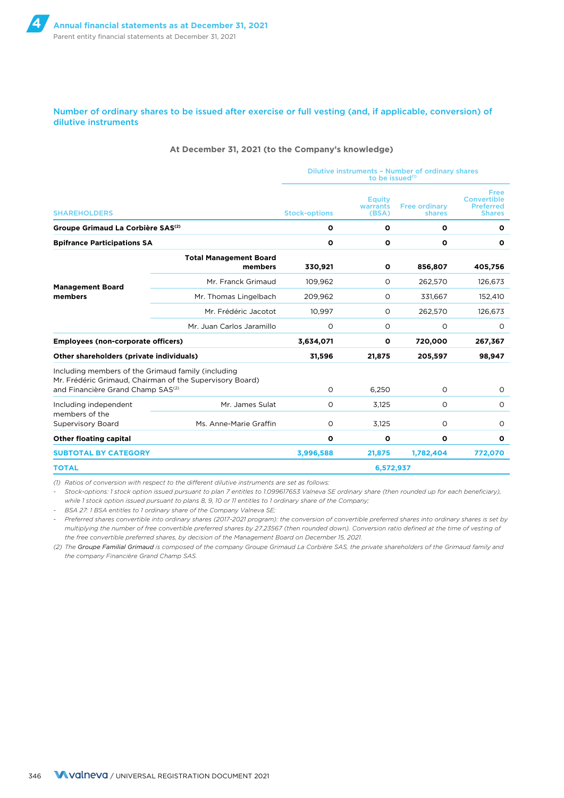#### Number of ordinary shares to be issued after exercise or full vesting (and, if applicable, conversion) of dilutive instruments

#### **At December 31, 2021 (to the Company's knowledge)**

|                                                                                                     |                                                          | Dilutive instruments - Number of ordinary shares<br>to be issued $(1)$ |                              |                                |                                                                 |  |
|-----------------------------------------------------------------------------------------------------|----------------------------------------------------------|------------------------------------------------------------------------|------------------------------|--------------------------------|-----------------------------------------------------------------|--|
| <b>SHAREHOLDERS</b>                                                                                 |                                                          | <b>Stock-options</b>                                                   | Equity<br>warrants<br>(BSA)  | <b>Free ordinary</b><br>shares | <b>Free</b><br>Convertible<br><b>Preferred</b><br><b>Shares</b> |  |
| Groupe Grimaud La Corbière SAS <sup>(2)</sup>                                                       |                                                          | $\mathbf{o}$                                                           | $\mathbf{o}$                 | O                              | $\mathbf{o}$                                                    |  |
| <b>Bpifrance Participations SA</b>                                                                  |                                                          | o                                                                      | $\mathbf{o}$<br>$\mathbf{o}$ |                                | 0                                                               |  |
| <b>Management Board</b><br>members                                                                  | <b>Total Management Board</b><br>members                 | 330,921                                                                | $\mathbf{o}$                 | 856,807                        | 405,756                                                         |  |
|                                                                                                     | Mr. Franck Grimaud                                       | 109,962                                                                | $\circ$                      | 262,570                        | 126,673                                                         |  |
|                                                                                                     | Mr. Thomas Lingelbach                                    | 209.962                                                                | $\circ$                      | 331.667                        | 152,410                                                         |  |
|                                                                                                     | Mr. Frédéric Jacotot                                     | 10.997                                                                 | $\Omega$                     | 262,570                        | 126,673                                                         |  |
|                                                                                                     | Mr. Juan Carlos Jaramillo                                | $\circ$                                                                | O                            | O                              | $\circ$                                                         |  |
| <b>Employees (non-corporate officers)</b>                                                           |                                                          | 3,634,071                                                              | $\mathbf{o}$                 | 720,000                        | 267,367                                                         |  |
| Other shareholders (private individuals)                                                            |                                                          | 31,596                                                                 | 21,875                       | 205,597                        | 98,947                                                          |  |
| Including members of the Grimaud family (including<br>and Financière Grand Champ SAS <sup>(2)</sup> | Mr. Frédéric Grimaud, Chairman of the Supervisory Board) | $\circ$                                                                | 6.250                        | O                              | $\circ$                                                         |  |
| Including independent<br>members of the<br><b>Supervisory Board</b>                                 | Mr. James Sulat                                          | $\circ$                                                                | 3,125                        | $\circ$                        | $\circ$                                                         |  |
|                                                                                                     | Ms. Anne-Marie Graffin                                   | O                                                                      | 3,125                        | O                              | $\circ$                                                         |  |
| <b>Other floating capital</b>                                                                       |                                                          | o                                                                      | $\mathbf{o}$                 | $\mathbf{o}$                   | $\mathbf{o}$                                                    |  |
| <b>SUBTOTAL BY CATEGORY</b>                                                                         |                                                          | 3,996,588                                                              | 21,875                       | 1,782,404                      | 772,070                                                         |  |
| <b>TOTAL</b>                                                                                        |                                                          | 6,572,937                                                              |                              |                                |                                                                 |  |

*(1) Ratios of conversion with respect to the different dilutive instruments are set as follows:*

*- Stock-options: 1 stock option issued pursuant to plan 7 entitles to 1.099617653 Valneva SE ordinary share (then rounded up for each beneficiary), while 1 stock option issued pursuant to plans 8, 9, 10 or 11 entitles to 1 ordinary share of the Company;*

*- BSA 27: 1 BSA entitles to 1 ordinary share of the Company Valneva SE;*

*- Preferred shares convertible into ordinary shares (2017-2021 program): the conversion of convertible preferred shares into ordinary shares is set by multiplying the number of free convertible preferred shares by 27.23567 (then rounded down). Conversion ratio defined at the time of vesting of the free convertible preferred shares, by decision of the Management Board on December 15, 2021.*

*(2) The Groupe Familial Grimaud is composed of the company Groupe Grimaud La Corbière SAS, the private shareholders of the Grimaud family and the company Financière Grand Champ SAS.*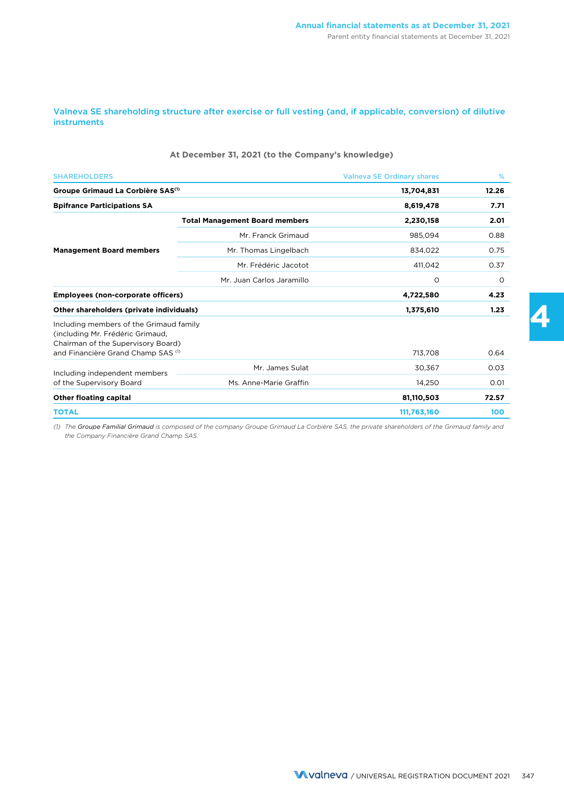Valneva SE shareholding structure after exercise or full vesting (and, if applicable, conversion) of dilutive instruments

#### **At December 31, 2021 (to the Company's knowledge)**

| <b>SHAREHOLDERS</b>                                                                                               |                                       | <b>Valneva SE Ordinary shares</b> | %     |
|-------------------------------------------------------------------------------------------------------------------|---------------------------------------|-----------------------------------|-------|
| Groupe Grimaud La Corbière SAS <sup>(1)</sup>                                                                     |                                       | 13,704,831                        | 12.26 |
| <b>Bpifrance Participations SA</b>                                                                                |                                       | 8,619,478                         | 7.71  |
|                                                                                                                   | <b>Total Management Board members</b> | 2,230,158                         | 2.01  |
|                                                                                                                   | Mr. Franck Grimaud                    | 985.094                           | 0.88  |
| <b>Management Board members</b>                                                                                   | Mr. Thomas Lingelbach                 | 834.022                           | 0.75  |
|                                                                                                                   | Mr. Frédéric Jacotot                  | 411,042                           | 0.37  |
|                                                                                                                   | Mr. Juan Carlos Jaramillo             | $\circ$                           | 0     |
| Employees (non-corporate officers)                                                                                |                                       | 4,722,580                         | 4.23  |
| Other shareholders (private individuals)                                                                          |                                       | 1,375,610                         | 1.23  |
| Including members of the Grimaud family<br>(including Mr. Frédéric Grimaud,<br>Chairman of the Supervisory Board) |                                       |                                   |       |
| and Financière Grand Champ SAS <sup>(1)</sup>                                                                     |                                       | 713,708                           | 0.64  |
| Including independent members                                                                                     | Mr. James Sulat                       | 30,367                            | 0.03  |
| of the Supervisory Board                                                                                          | Ms. Anne-Marie Graffin                | 14.250                            | 0.01  |
| <b>Other floating capital</b>                                                                                     |                                       | 81,110,503                        | 72.57 |
| <b>TOTAL</b>                                                                                                      |                                       | 111,763,160                       | 100   |

*(1) The Groupe Familial Grimaud is composed of the company Groupe Grimaud La Corbière SAS, the private shareholders of the Grimaud family and the Company Financière Grand Champ SAS.*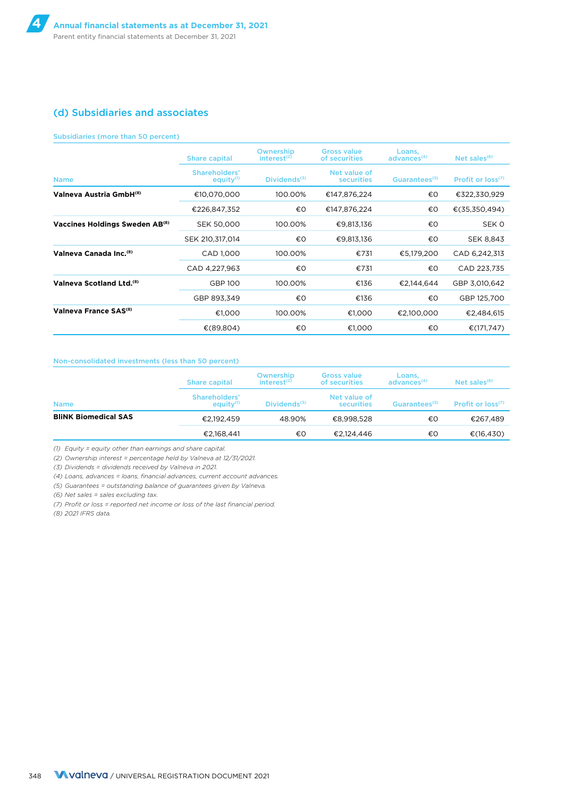### (d) Subsidiaries and associates

#### Subsidiaries (more than 50 percent)

|                                            | <b>Share capital</b>                   | Ownership<br>interest <sup>(2)</sup> | <b>Gross value</b><br>of securities | Loans,<br>advances <sup>(4)</sup> | Net sales $(6)$        |
|--------------------------------------------|----------------------------------------|--------------------------------------|-------------------------------------|-----------------------------------|------------------------|
| <b>Name</b>                                | Shareholders'<br>equity <sup>(1)</sup> | $Dividends^{(3)}$                    | Net value of<br>securities          | Guarantees <sup>(5)</sup>         | Profit or $loss^{(7)}$ |
| Valneva Austria GmbH <sup>(8)</sup>        | €10,070,000                            | 100.00%                              | €147,876,224                        | €O                                | €322,330,929           |
|                                            | €226,847,352                           | €O                                   | €147,876,224                        | €О                                | €(35,350,494)          |
| Vaccines Holdings Sweden AB <sup>(8)</sup> | SEK 50,000                             | 100.00%                              | €9,813,136                          | €O                                | SEK 0                  |
|                                            | SEK 210,317,014                        | €O                                   | €9,813,136                          | €О                                | <b>SEK 8,843</b>       |
| Valneva Canada Inc. <sup>(8)</sup>         | CAD 1,000                              | 100.00%                              | €731                                | €5,179,200                        | CAD 6,242,313          |
|                                            | CAD 4,227,963                          | €O                                   | €731                                | €O                                | CAD 223,735            |
| Valneva Scotland Ltd. <sup>(8)</sup>       | <b>GBP 100</b>                         | 100.00%                              | €136                                | €2.144.644                        | GBP 3,010,642          |
|                                            | GBP 893,349                            | €O                                   | €136                                | €O                                | GBP 125,700            |
| Valneva France SAS <sup>(8)</sup>          | €1,000                                 | 100.00%                              | €1,000                              | €2,100,000                        | €2,484,615             |
|                                            | €(89,804)                              | €О                                   | €1,000                              | €О                                | €(171,747)             |

#### Non-consolidated investments (less than 50 percent)

|                             | Share capital                          | Ownership<br>$interest^{(2)}$ | <b>Gross value</b><br>of securities | Loans,<br>advances <sup>(4)</sup> | Net sales $(6)$        |
|-----------------------------|----------------------------------------|-------------------------------|-------------------------------------|-----------------------------------|------------------------|
| <b>Name</b>                 | Shareholders'<br>equity <sup>(1)</sup> | Dividends $(3)$               | Net value of<br>securities          | Guarantees <sup>(5)</sup>         | Profit or $loss^{(7)}$ |
| <b>BliNK Biomedical SAS</b> | €2.192.459                             | 48.90%                        | €8.998.528                          | €О                                | €267,489               |
|                             | €2,168,441                             | €О                            | €2,124,446                          | €О                                | €(16,430)              |

*(1) Equity = equity other than earnings and share capital.*

*(2) Ownership interest = percentage held by Valneva at 12/31/2021.*

*(3) Dividends = dividends received by Valneva in 2021.*

*(4) Loans, advances = loans, financial advances, current account advances.*

*(5) Guarantees = outstanding balance of guarantees given by Valneva.*

*(6) Net sales = sales excluding tax.*

*(7) Profit or loss = reported net income or loss of the last financial period.*

*(8) 2021 IFRS data.*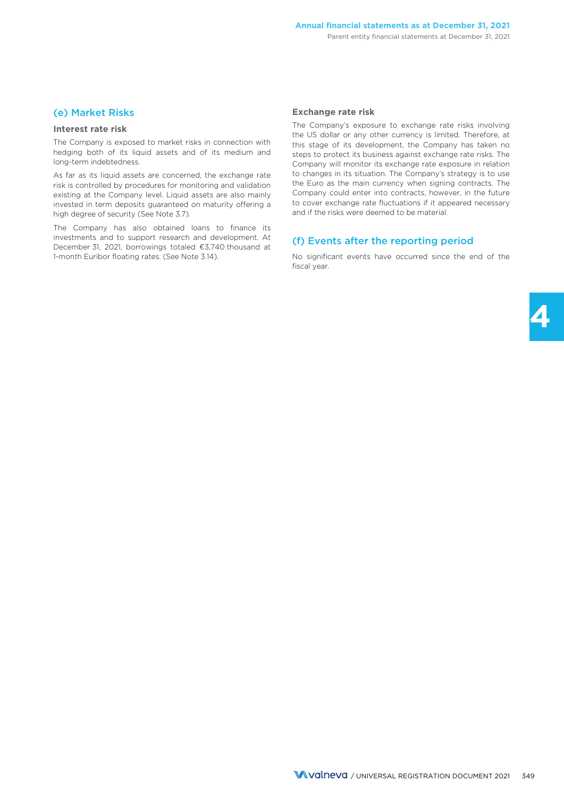### (e) Market Risks

#### **Interest rate risk**

The Company is exposed to market risks in connection with hedging both of its liquid assets and of its medium and long-term indebtedness.

As far as its liquid assets are concerned, the exchange rate risk is controlled by procedures for monitoring and validation existing at the Company level. Liquid assets are also mainly invested in term deposits guaranteed on maturity offering a high degree of security (See Note 3.7).

The Company has also obtained loans to finance its investments and to support research and development. At December 31, 2021, borrowings totaled €3,740 thousand at 1-month Euribor floating rates. (See Note 3.14).

#### **Exchange rate risk**

The Company's exposure to exchange rate risks involving the US dollar or any other currency is limited. Therefore, at this stage of its development, the Company has taken no steps to protect its business against exchange rate risks. The Company will monitor its exchange rate exposure in relation to changes in its situation. The Company's strategy is to use the Euro as the main currency when signing contracts. The Company could enter into contracts, however, in the future to cover exchange rate fluctuations if it appeared necessary and if the risks were deemed to be material.

### (f) Events after the reporting period

No significant events have occurred since the end of the fiscal year.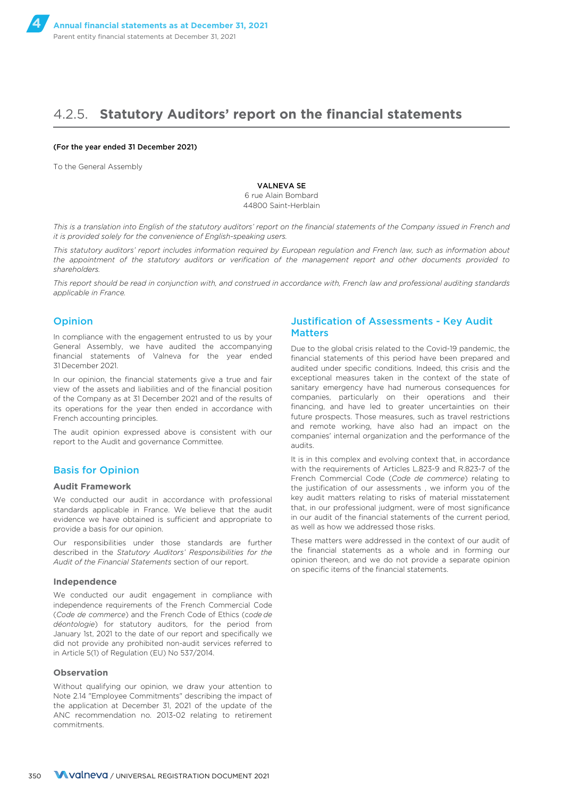## 4.2.5. **Statutory Auditors' report on the financial statements**

#### (For the year ended 31 December 2021)

To the General Assembly

VALNEVA SE

6 rue Alain Bombard 44800 Saint-Herblain

*This is a translation into English of the statutory auditors' report on the financial statements of the Company issued in French and it is provided solely for the convenience of English-speaking users.*

*This statutory auditors' report includes information required by European regulation and French law, such as information about the appointment of the statutory auditors or verification of the management report and other documents provided to shareholders.*

*This report should be read in conjunction with, and construed in accordance with, French law and professional auditing standards applicable in France.*

#### Opinion

In compliance with the engagement entrusted to us by your General Assembly, we have audited the accompanying financial statements of Valneva for the year ended 31 December 2021.

In our opinion, the financial statements give a true and fair view of the assets and liabilities and of the financial position of the Company as at 31 December 2021 and of the results of its operations for the year then ended in accordance with French accounting principles.

The audit opinion expressed above is consistent with our report to the Audit and governance Committee.

#### Basis for Opinion

#### **Audit Framework**

We conducted our audit in accordance with professional standards applicable in France. We believe that the audit evidence we have obtained is sufficient and appropriate to provide a basis for our opinion.

Our responsibilities under those standards are further described in the *Statutory Auditors' Responsibilities for the Audit of the Financial Statements* section of our report.

#### **Independence**

We conducted our audit engagement in compliance with independence requirements of the French Commercial Code (*Code de commerce*) and the French Code of Ethics (c*ode de déontologie*) for statutory auditors, for the period from January 1st, 2021 to the date of our report and specifically we did not provide any prohibited non-audit services referred to in Article 5(1) of Regulation (EU) No 537/2014.

#### **Observation**

Without qualifying our opinion, we draw your attention to Note 2.14 "Employee Commitments" describing the impact of the application at December 31, 2021 of the update of the ANC recommendation no. 2013-02 relating to retirement commitments.

#### Justification of Assessments - Key Audit **Matters**

Due to the global crisis related to the Covid-19 pandemic, the financial statements of this period have been prepared and audited under specific conditions. Indeed, this crisis and the exceptional measures taken in the context of the state of sanitary emergency have had numerous consequences for companies, particularly on their operations and their financing, and have led to greater uncertainties on their future prospects. Those measures, such as travel restrictions and remote working, have also had an impact on the companies' internal organization and the performance of the audits.

It is in this complex and evolving context that, in accordance with the requirements of Articles L.823-9 and R.823-7 of the French Commercial Code (*Code de commerce*) relating to the justification of our assessments , we inform you of the key audit matters relating to risks of material misstatement that, in our professional judgment, were of most significance in our audit of the financial statements of the current period, as well as how we addressed those risks.

These matters were addressed in the context of our audit of the financial statements as a whole and in forming our opinion thereon, and we do not provide a separate opinion on specific items of the financial statements.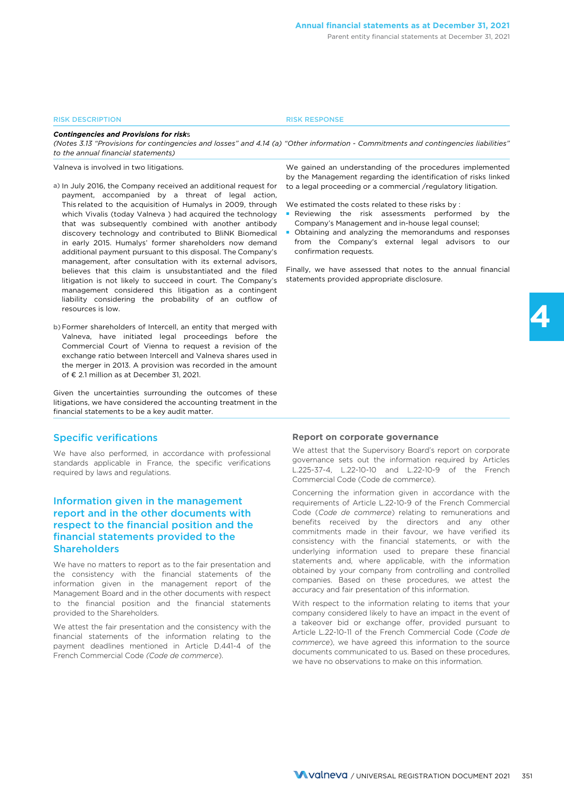#### RISK DESCRIPTION RISK RESPONSE

*Contingencies and Provisions for risk*s

*(Notes 3.13 "Provisions for contingencies and losses" and 4.14 (a) "Other information - Commitments and contingencies liabilities" to the annual financial statements)*

Valneva is involved in two litigations.

- a) In July 2016, the Company received an additional request for payment, accompanied by a threat of legal action, This related to the acquisition of Humalys in 2009, through which Vivalis (today Valneva ) had acquired the technology that was subsequently combined with another antibody discovery technology and contributed to BliNK Biomedical in early 2015. Humalys' former shareholders now demand additional payment pursuant to this disposal. The Company's management, after consultation with its external advisors, believes that this claim is unsubstantiated and the filed litigation is not likely to succeed in court. The Company's management considered this litigation as a contingent liability considering the probability of an outflow of resources is low.
- b)Former shareholders of Intercell, an entity that merged with Valneva, have initiated legal proceedings before the Commercial Court of Vienna to request a revision of the exchange ratio between Intercell and Valneva shares used in the merger in 2013. A provision was recorded in the amount of € 2.1 million as at December 31, 2021.

Given the uncertainties surrounding the outcomes of these litigations, we have considered the accounting treatment in the financial statements to be a key audit matter.

#### Specific verifications

We have also performed, in accordance with professional standards applicable in France, the specific verifications required by laws and regulations.

### Information given in the management report and in the other documents with respect to the financial position and the financial statements provided to the Shareholders

We have no matters to report as to the fair presentation and the consistency with the financial statements of the information given in the management report of the Management Board and in the other documents with respect to the financial position and the financial statements provided to the Shareholders.

We attest the fair presentation and the consistency with the financial statements of the information relating to the payment deadlines mentioned in Article D.441-4 of the French Commercial Code *(Code de commerce*).

We gained an understanding of the procedures implemented by the Management regarding the identification of risks linked to a legal proceeding or a commercial /regulatory litigation.

We estimated the costs related to these risks by :

- Reviewing the risk assessments performed by the Company's Management and in-house legal counsel;
- Obtaining and analyzing the memorandums and responses from the Company's external legal advisors to our confirmation requests.

Finally, we have assessed that notes to the annual financial statements provided appropriate disclosure.

#### **Report on corporate governance**

We attest that the Supervisory Board's report on corporate governance sets out the information required by Articles L.225-37-4, L.22-10-10 and L.22-10-9 of the French Commercial Code (Code de commerce).

Concerning the information given in accordance with the requirements of Article L.22-10-9 of the French Commercial Code (*Code de commerce*) relating to remunerations and benefits received by the directors and any other commitments made in their favour, we have verified its consistency with the financial statements, or with the underlying information used to prepare these financial statements and, where applicable, with the information obtained by your company from controlling and controlled companies. Based on these procedures, we attest the accuracy and fair presentation of this information.

With respect to the information relating to items that your company considered likely to have an impact in the event of a takeover bid or exchange offer, provided pursuant to Article L.22-10-11 of the French Commercial Code (*Code de commerce*), we have agreed this information to the source documents communicated to us. Based on these procedures, we have no observations to make on this information.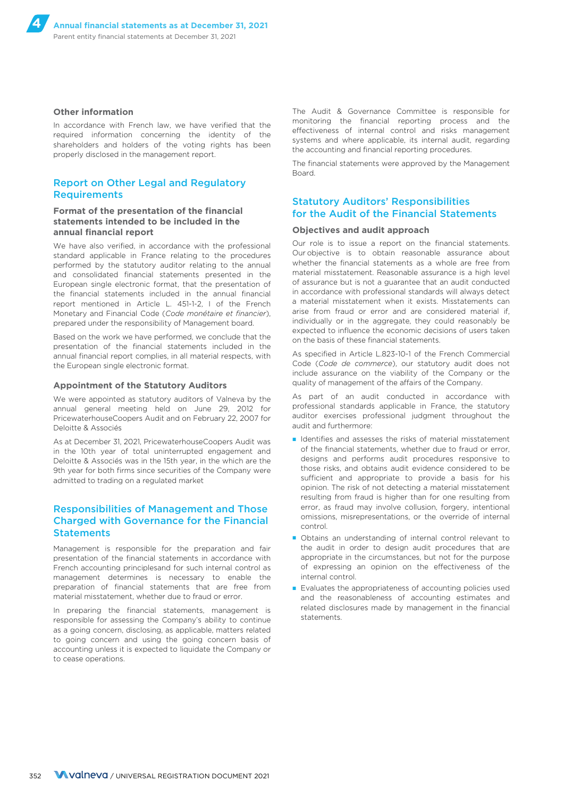#### **Other information**

In accordance with French law, we have verified that the required information concerning the identity of the shareholders and holders of the voting rights has been properly disclosed in the management report.

### Report on Other Legal and Regulatory Requirements

#### **Format of the presentation of the financial statements intended to be included in the annual financial report**

We have also verified, in accordance with the professional standard applicable in France relating to the procedures performed by the statutory auditor relating to the annual and consolidated financial statements presented in the European single electronic format, that the presentation of the financial statements included in the annual financial report mentioned in Article L. 451-1-2, I of the French Monetary and Financial Code (*Code monétaire et financier*), prepared under the responsibility of Management board.

Based on the work we have performed, we conclude that the presentation of the financial statements included in the annual financial report complies, in all material respects, with the European single electronic format.

#### **Appointment of the Statutory Auditors**

We were appointed as statutory auditors of Valneva by the annual general meeting held on June 29, 2012 for PricewaterhouseCoopers Audit and on February 22, 2007 for Deloitte & Associés

As at December 31, 2021, PricewaterhouseCoopers Audit was in the 10th year of total uninterrupted engagement and Deloitte & Associés was in the 15th year, in the which are the 9th year for both firms since securities of the Company were admitted to trading on a regulated market

### Responsibilities of Management and Those Charged with Governance for the Financial **Statements**

Management is responsible for the preparation and fair presentation of the financial statements in accordance with French accounting principlesand for such internal control as management determines is necessary to enable the preparation of financial statements that are free from material misstatement, whether due to fraud or error.

In preparing the financial statements, management is responsible for assessing the Company's ability to continue as a going concern, disclosing, as applicable, matters related to going concern and using the going concern basis of accounting unless it is expected to liquidate the Company or to cease operations.

The Audit & Governance Committee is responsible for monitoring the financial reporting process and the effectiveness of internal control and risks management systems and where applicable, its internal audit, regarding the accounting and financial reporting procedures.

The financial statements were approved by the Management Board.

### Statutory Auditors' Responsibilities for the Audit of the Financial Statements

#### **Objectives and audit approach**

Our role is to issue a report on the financial statements. Our objective is to obtain reasonable assurance about whether the financial statements as a whole are free from material misstatement. Reasonable assurance is a high level of assurance but is not a guarantee that an audit conducted in accordance with professional standards will always detect a material misstatement when it exists. Misstatements can arise from fraud or error and are considered material if, individually or in the aggregate, they could reasonably be expected to influence the economic decisions of users taken on the basis of these financial statements.

As specified in Article L.823-10-1 of the French Commercial Code (*Code de commerce*), our statutory audit does not include assurance on the viability of the Company or the quality of management of the affairs of the Company.

As part of an audit conducted in accordance with professional standards applicable in France, the statutory auditor exercises professional judgment throughout the audit and furthermore:

- Identifies and assesses the risks of material misstatement of the financial statements, whether due to fraud or error, designs and performs audit procedures responsive to those risks, and obtains audit evidence considered to be sufficient and appropriate to provide a basis for his opinion. The risk of not detecting a material misstatement resulting from fraud is higher than for one resulting from error, as fraud may involve collusion, forgery, intentional omissions, misrepresentations, or the override of internal control.
- Obtains an understanding of internal control relevant to the audit in order to design audit procedures that are appropriate in the circumstances, but not for the purpose of expressing an opinion on the effectiveness of the internal control.
- Evaluates the appropriateness of accounting policies used and the reasonableness of accounting estimates and related disclosures made by management in the financial statements.